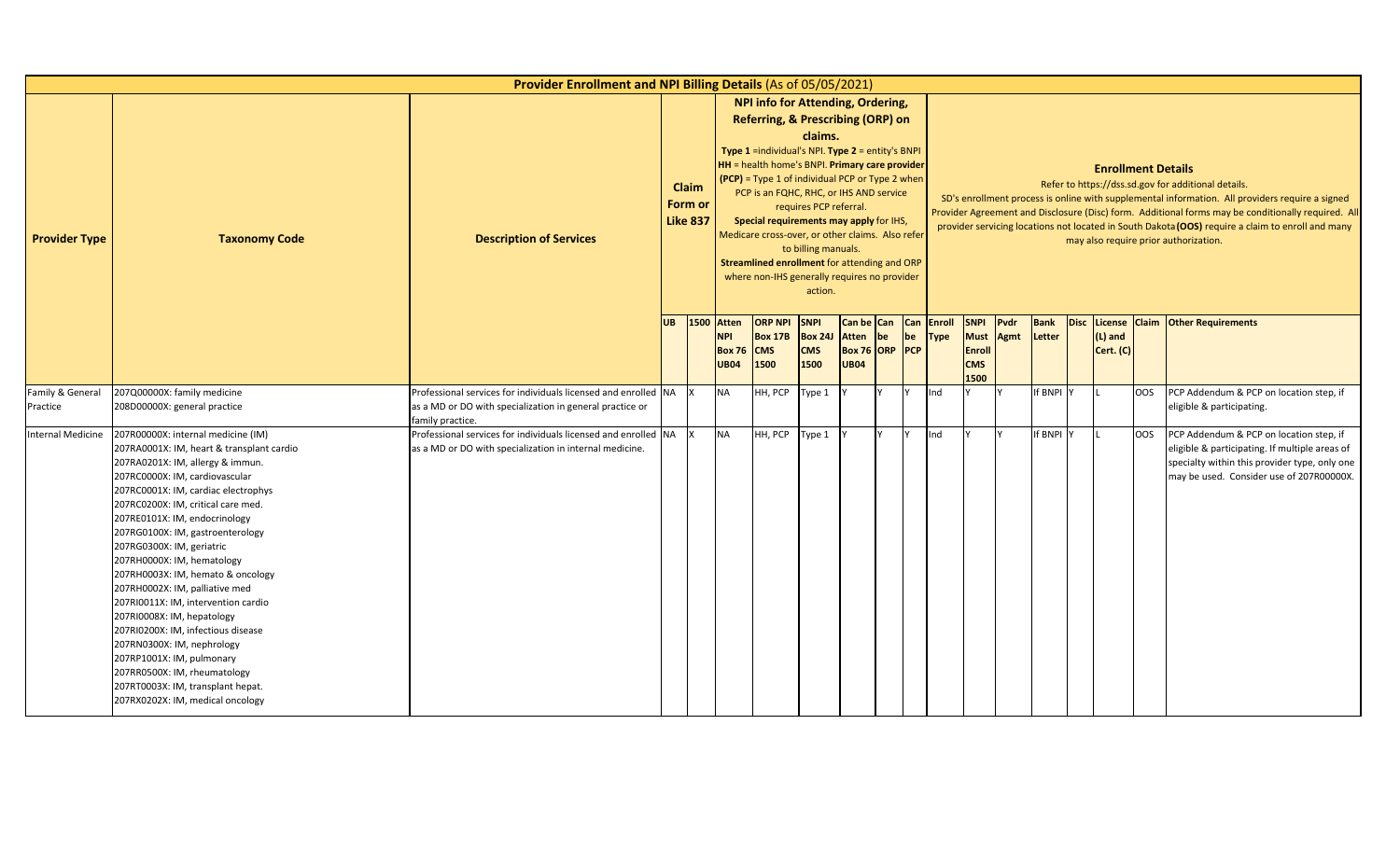|                      |                                                                                                                                                                                                                                                                                                                                                                                                                                                                                                                                                                                                                                                                                                                          | Provider Enrollment and NPI Billing Details (As of 05/05/2021)                                                            |           |                                     |                                            |                                                                                                                                                                                                                                                                                                                                                                                                                                                                             |                                                                     |                                                                    |     |    |             |                                                                   |              |                       |                           |            |                                                                                                                                                                                                                                                                                                                                                                                                            |
|----------------------|--------------------------------------------------------------------------------------------------------------------------------------------------------------------------------------------------------------------------------------------------------------------------------------------------------------------------------------------------------------------------------------------------------------------------------------------------------------------------------------------------------------------------------------------------------------------------------------------------------------------------------------------------------------------------------------------------------------------------|---------------------------------------------------------------------------------------------------------------------------|-----------|-------------------------------------|--------------------------------------------|-----------------------------------------------------------------------------------------------------------------------------------------------------------------------------------------------------------------------------------------------------------------------------------------------------------------------------------------------------------------------------------------------------------------------------------------------------------------------------|---------------------------------------------------------------------|--------------------------------------------------------------------|-----|----|-------------|-------------------------------------------------------------------|--------------|-----------------------|---------------------------|------------|------------------------------------------------------------------------------------------------------------------------------------------------------------------------------------------------------------------------------------------------------------------------------------------------------------------------------------------------------------------------------------------------------------|
| <b>Provider Type</b> | <b>Taxonomy Code</b>                                                                                                                                                                                                                                                                                                                                                                                                                                                                                                                                                                                                                                                                                                     | <b>Description of Services</b>                                                                                            |           | Claim<br>Form or<br><b>Like 837</b> |                                            | NPI info for Attending, Ordering,<br>Referring, & Prescribing (ORP) on<br>Type 1 =individual's NPI. Type 2 = entity's BNPI<br>HH = health home's BNPI. Primary care provider<br>$(PCP)$ = Type 1 of individual PCP or Type 2 when<br>PCP is an FQHC, RHC, or IHS AND service<br>Special requirements may apply for IHS,<br>Medicare cross-over, or other claims. Also refer<br>Streamlined enrollment for attending and ORP<br>where non-IHS generally requires no provider | claims.<br>requires PCP referral.<br>to billing manuals.<br>action. |                                                                    |     |    |             |                                                                   |              |                       | <b>Enrollment Details</b> |            | Refer to https://dss.sd.gov for additional details.<br>SD's enrollment process is online with supplemental information. All providers require a signed<br>Provider Agreement and Disclosure (Disc) form. Additional forms may be conditionally required. All<br>provider servicing locations not located in South Dakota (OOS) require a claim to enroll and many<br>may also require prior authorization. |
|                      |                                                                                                                                                                                                                                                                                                                                                                                                                                                                                                                                                                                                                                                                                                                          |                                                                                                                           | <b>UB</b> | 1500 Atten                          | <b>NPI</b><br><b>Box 76</b><br><b>UB04</b> | <b>ORP NPI</b><br><b>Box 17B</b><br><b>CMS</b><br>1500                                                                                                                                                                                                                                                                                                                                                                                                                      | <b>SNPI</b><br><b>Box 24J</b><br><b>CMS</b><br>1500                 | Can be Can Can Enroll<br>Atten be<br>Box 76 ORP PCP<br><b>UB04</b> |     | be | <b>Type</b> | <b>SNPI</b><br><b>Must</b><br><b>Enroll</b><br><b>CMS</b><br>1500 | Pvdr<br>Agmt | <b>Bank</b><br>Letter | $(L)$ and<br>Cert. (C)    |            | Disc License Claim Other Requirements                                                                                                                                                                                                                                                                                                                                                                      |
| Family & General     | 207Q00000X: family medicine                                                                                                                                                                                                                                                                                                                                                                                                                                                                                                                                                                                                                                                                                              | Professional services for individuals licensed and enrolled NA X                                                          |           |                                     | <b>NA</b>                                  | HH, PCP                                                                                                                                                                                                                                                                                                                                                                                                                                                                     | Type 1                                                              |                                                                    | IY. |    | Ind         |                                                                   |              | If BNPI Y             |                           | <b>OOS</b> | PCP Addendum & PCP on location step, if                                                                                                                                                                                                                                                                                                                                                                    |
| Practice             | 208D00000X: general practice                                                                                                                                                                                                                                                                                                                                                                                                                                                                                                                                                                                                                                                                                             | as a MD or DO with specialization in general practice or<br>family practice.                                              |           |                                     |                                            |                                                                                                                                                                                                                                                                                                                                                                                                                                                                             |                                                                     |                                                                    |     |    |             |                                                                   |              |                       |                           |            | eligible & participating.                                                                                                                                                                                                                                                                                                                                                                                  |
| Internal Medicine    | 207R00000X: internal medicine (IM)<br>207RA0001X: IM, heart & transplant cardio<br>207RA0201X: IM, allergy & immun.<br>207RC0000X: IM, cardiovascular<br>207RC0001X: IM, cardiac electrophys<br>207RC0200X: IM, critical care med.<br>207RE0101X: IM, endocrinology<br>207RG0100X: IM, gastroenterology<br>207RG0300X: IM, geriatric<br>207RH0000X: IM, hematology<br>207RH0003X: IM, hemato & oncology<br>207RH0002X: IM, palliative med<br>207RI0011X: IM, intervention cardio<br>207RI0008X: IM, hepatology<br>207RI0200X: IM, infectious disease<br>207RN0300X: IM, nephrology<br>207RP1001X: IM, pulmonary<br>207RR0500X: IM, rheumatology<br>207RT0003X: IM, transplant hepat.<br>207RX0202X: IM, medical oncology | Professional services for individuals licensed and enrolled NA<br>as a MD or DO with specialization in internal medicine. |           |                                     | <b>NA</b>                                  | HH, PCP                                                                                                                                                                                                                                                                                                                                                                                                                                                                     | Type 1                                                              |                                                                    |     |    | Ind         |                                                                   |              | If BNPI Y             |                           | <b>OOS</b> | PCP Addendum & PCP on location step, if<br>eligible & participating. If multiple areas of<br>specialty within this provider type, only one<br>may be used. Consider use of 207R00000X.                                                                                                                                                                                                                     |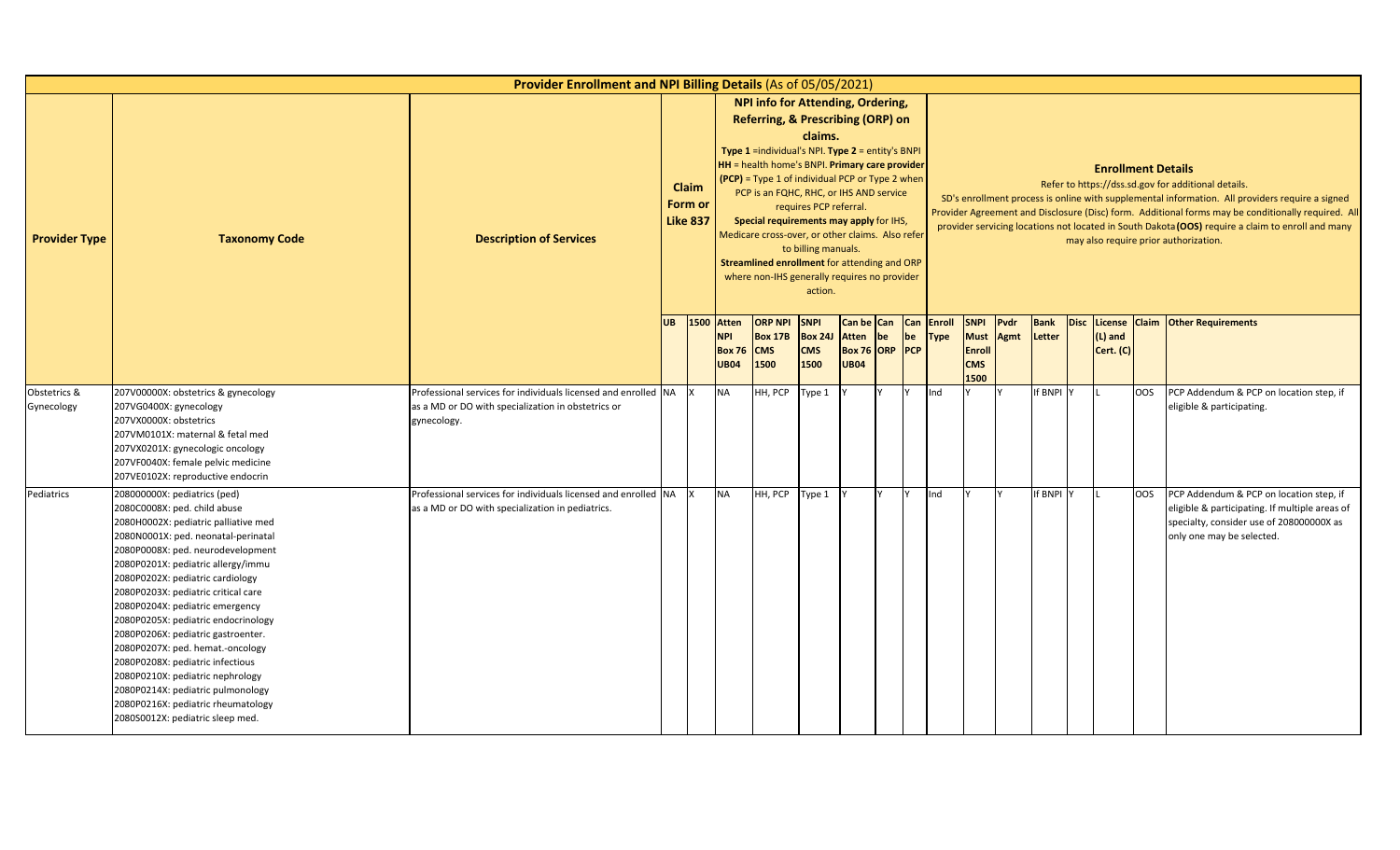|                            |                                                                                                                                                                                                                                                                                                                                                                                                                                                                                                                                                                                                                                              | Provider Enrollment and NPI Billing Details (As of 05/05/2021)                                                                      |           |                                            |                                                            |                                                                                                                                                                                                                                                                                                                                                                                                                                                                                      |                                                                     |                                                             |    |    |                                  |                                                            |              |                       |                           |            |                                                                                                                                                                                                                                                                                                                                                                                                            |
|----------------------------|----------------------------------------------------------------------------------------------------------------------------------------------------------------------------------------------------------------------------------------------------------------------------------------------------------------------------------------------------------------------------------------------------------------------------------------------------------------------------------------------------------------------------------------------------------------------------------------------------------------------------------------------|-------------------------------------------------------------------------------------------------------------------------------------|-----------|--------------------------------------------|------------------------------------------------------------|--------------------------------------------------------------------------------------------------------------------------------------------------------------------------------------------------------------------------------------------------------------------------------------------------------------------------------------------------------------------------------------------------------------------------------------------------------------------------------------|---------------------------------------------------------------------|-------------------------------------------------------------|----|----|----------------------------------|------------------------------------------------------------|--------------|-----------------------|---------------------------|------------|------------------------------------------------------------------------------------------------------------------------------------------------------------------------------------------------------------------------------------------------------------------------------------------------------------------------------------------------------------------------------------------------------------|
| <b>Provider Type</b>       | <b>Taxonomy Code</b>                                                                                                                                                                                                                                                                                                                                                                                                                                                                                                                                                                                                                         | <b>Description of Services</b>                                                                                                      |           | <b>Claim</b><br>Form or<br><b>Like 837</b> |                                                            | <b>NPI info for Attending, Ordering,</b><br>Referring, & Prescribing (ORP) on<br>Type $1$ =individual's NPI. Type $2$ = entity's BNPI<br>HH = health home's BNPI. Primary care provider<br>(PCP) = Type 1 of individual PCP or Type 2 when<br>PCP is an FQHC, RHC, or IHS AND service<br>Special requirements may apply for IHS,<br>Medicare cross-over, or other claims. Also refer<br>Streamlined enrollment for attending and ORP<br>where non-IHS generally requires no provider | claims.<br>requires PCP referral.<br>to billing manuals.<br>action. |                                                             |    |    |                                  |                                                            |              |                       | <b>Enrollment Details</b> |            | Refer to https://dss.sd.gov for additional details.<br>SD's enrollment process is online with supplemental information. All providers require a signed<br>Provider Agreement and Disclosure (Disc) form. Additional forms may be conditionally required. All<br>provider servicing locations not located in South Dakota (OOS) require a claim to enroll and many<br>may also require prior authorization. |
|                            |                                                                                                                                                                                                                                                                                                                                                                                                                                                                                                                                                                                                                                              |                                                                                                                                     | <b>UB</b> | 1500                                       | <b>Atten</b><br><b>NPI</b><br><b>Box 76</b><br><b>UB04</b> | <b>ORP NPI</b><br><b>Box 17B</b><br><b>CMS</b><br>1500                                                                                                                                                                                                                                                                                                                                                                                                                               | <b>SNPI</b><br><b>Box 24J</b><br><b>CMS</b><br>1500                 | Can be Can<br><b>Atten</b><br>Box 76 ORP PCP<br><b>UB04</b> | be | be | <b>Can Enroll</b><br><b>Type</b> | <b>SNPI</b><br><b>Must</b><br>Enroll<br><b>CMS</b><br>1500 | Pvdr<br>Agmt | <b>Bank</b><br>Letter | $(L)$ and<br>Cert. (C)    |            | Disc License Claim Other Requirements                                                                                                                                                                                                                                                                                                                                                                      |
| Obstetrics &<br>Gynecology | 207V00000X: obstetrics & gynecology<br>207VG0400X: gynecology<br>207VX0000X: obstetrics<br>207VM0101X: maternal & fetal med<br>207VX0201X: gynecologic oncology<br>207VF0040X: female pelvic medicine<br>207VE0102X: reproductive endocrin                                                                                                                                                                                                                                                                                                                                                                                                   | Professional services for individuals licensed and enrolled NA<br>as a MD or DO with specialization in obstetrics or<br>gynecology. |           |                                            | <b>NA</b>                                                  | HH, PCP                                                                                                                                                                                                                                                                                                                                                                                                                                                                              | Type 1                                                              |                                                             |    |    | Ind                              |                                                            |              | If BNPI Y             |                           | <b>OOS</b> | PCP Addendum & PCP on location step, if<br>eligible & participating.                                                                                                                                                                                                                                                                                                                                       |
| Pediatrics                 | 208000000X: pediatrics (ped)<br>2080C0008X: ped. child abuse<br>2080H0002X: pediatric palliative med<br>2080N0001X: ped. neonatal-perinatal<br>2080P0008X: ped. neurodevelopment<br>2080P0201X: pediatric allergy/immu<br>2080P0202X: pediatric cardiology<br>2080P0203X: pediatric critical care<br>2080P0204X: pediatric emergency<br>2080P0205X: pediatric endocrinology<br>2080P0206X: pediatric gastroenter.<br>2080P0207X: ped. hemat.-oncology<br>2080P0208X: pediatric infectious<br>2080P0210X: pediatric nephrology<br>2080P0214X: pediatric pulmonology<br>2080P0216X: pediatric rheumatology<br>2080S0012X: pediatric sleep med. | Professional services for individuals licensed and enrolled NA<br>as a MD or DO with specialization in pediatrics.                  |           |                                            | <b>NA</b>                                                  | HH, PCP                                                                                                                                                                                                                                                                                                                                                                                                                                                                              | Type 1                                                              |                                                             |    |    | Ind                              |                                                            |              | If BNPI Y             |                           | <b>OOS</b> | PCP Addendum & PCP on location step, if<br>eligible & participating. If multiple areas of<br>specialty, consider use of 208000000X as<br>only one may be selected.                                                                                                                                                                                                                                         |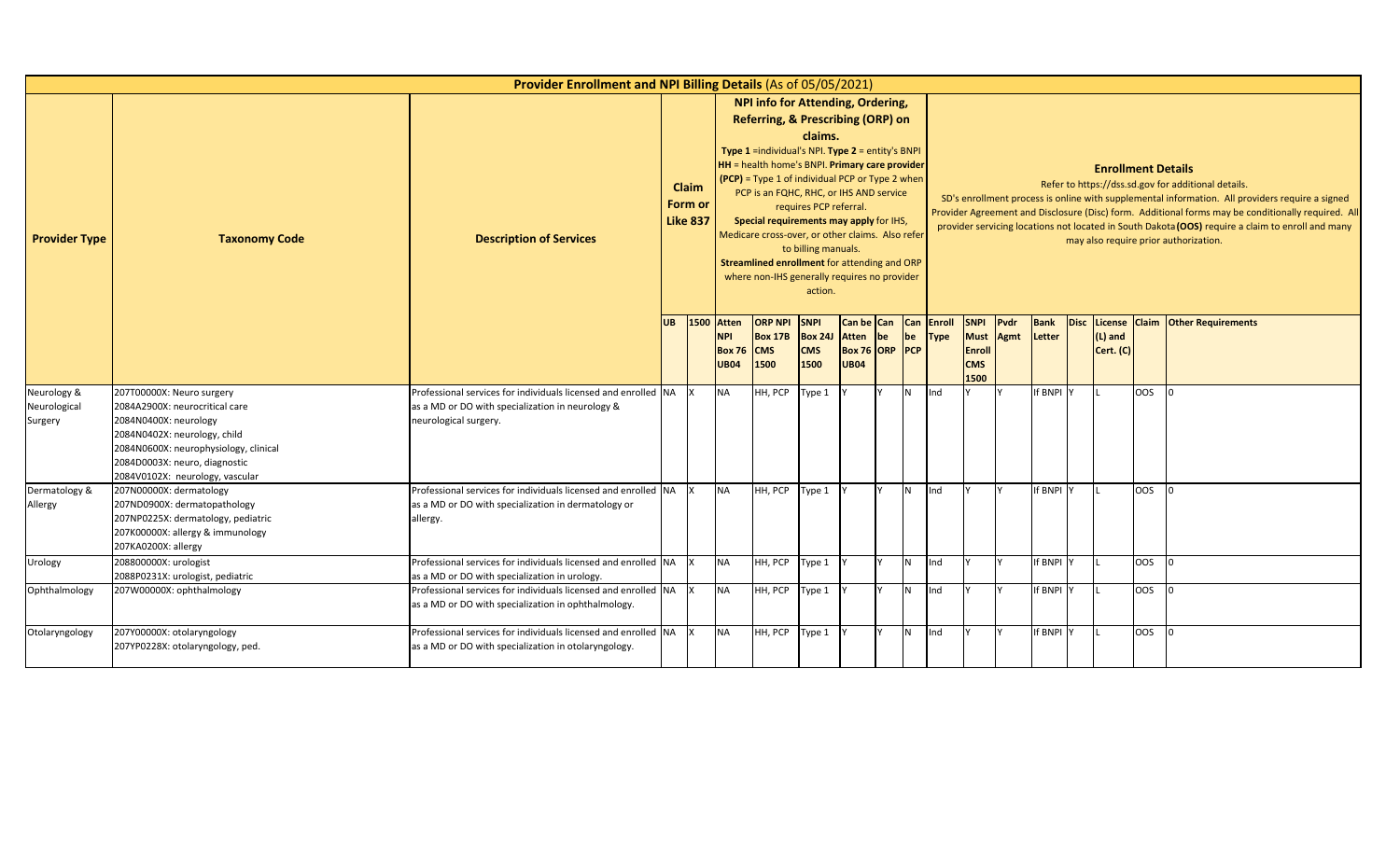|                                        |                                                                                                                                                                                                                                   | Provider Enrollment and NPI Billing Details (As of 05/05/2021)                                                                              |           |                                     |                                                            |                                                                                                                                                                                                                                                                                                                                                                                                                                                                           |                                                                     |                                                                 |    |                |             |                                                            |              |                       |             |                           |            |                                                                                                                                                                                                                                                                                                                                                                                                            |
|----------------------------------------|-----------------------------------------------------------------------------------------------------------------------------------------------------------------------------------------------------------------------------------|---------------------------------------------------------------------------------------------------------------------------------------------|-----------|-------------------------------------|------------------------------------------------------------|---------------------------------------------------------------------------------------------------------------------------------------------------------------------------------------------------------------------------------------------------------------------------------------------------------------------------------------------------------------------------------------------------------------------------------------------------------------------------|---------------------------------------------------------------------|-----------------------------------------------------------------|----|----------------|-------------|------------------------------------------------------------|--------------|-----------------------|-------------|---------------------------|------------|------------------------------------------------------------------------------------------------------------------------------------------------------------------------------------------------------------------------------------------------------------------------------------------------------------------------------------------------------------------------------------------------------------|
| <b>Provider Type</b>                   | <b>Taxonomy Code</b>                                                                                                                                                                                                              | <b>Description of Services</b>                                                                                                              |           | Claim<br>Form or<br><b>Like 837</b> |                                                            | NPI info for Attending, Ordering,<br>Referring, & Prescribing (ORP) on<br>Type 1 =individual's NPI. Type 2 = entity's BNPI<br>HH = health home's BNPI. Primary care provider<br>(PCP) = Type 1 of individual PCP or Type 2 when<br>PCP is an FQHC, RHC, or IHS AND service<br>Special requirements may apply for IHS,<br>Medicare cross-over, or other claims. Also refer<br>Streamlined enrollment for attending and ORP<br>where non-IHS generally requires no provider | claims.<br>requires PCP referral.<br>to billing manuals.<br>action. |                                                                 |    |                |             |                                                            |              |                       |             | <b>Enrollment Details</b> |            | Refer to https://dss.sd.gov for additional details.<br>SD's enrollment process is online with supplemental information. All providers require a signed<br>Provider Agreement and Disclosure (Disc) form. Additional forms may be conditionally required. All<br>provider servicing locations not located in South Dakota (OOS) require a claim to enroll and many<br>may also require prior authorization. |
|                                        |                                                                                                                                                                                                                                   |                                                                                                                                             | <b>UB</b> | 1500                                | <b>Atten</b><br><b>NPI</b><br><b>Box 76</b><br><b>UB04</b> | <b>ORP NPI</b><br><b>Box 17B</b><br><b>CMS</b><br>1500                                                                                                                                                                                                                                                                                                                                                                                                                    | <b>SNPI</b><br><b>Box 24J</b><br><b>CMS</b><br>1500                 | Can be Can Can Enroll<br>Atten<br>Box 76 ORP PCP<br><b>UB04</b> | be | be             | <b>Type</b> | <b>SNPI</b><br><b>Must</b><br>Enroll<br><b>CMS</b><br>1500 | Pvdr<br>Agmt | <b>Bank</b><br>Letter | <b>Disc</b> | (L) and<br>Cert. (C)      |            | License Claim Other Requirements                                                                                                                                                                                                                                                                                                                                                                           |
| Neurology &<br>Neurological<br>Surgery | 207T00000X: Neuro surgery<br>2084A2900X: neurocritical care<br>2084N0400X: neurology<br>2084N0402X: neurology, child<br>2084N0600X: neurophysiology, clinical<br>2084D0003X: neuro, diagnostic<br>2084V0102X: neurology, vascular | Professional services for individuals licensed and enrolled NA<br>as a MD or DO with specialization in neurology &<br>neurological surgery. |           |                                     | <b>NA</b>                                                  | HH, PCP                                                                                                                                                                                                                                                                                                                                                                                                                                                                   | Type 1                                                              |                                                                 |    | N.             | Ind         |                                                            |              | If BNPI Y             |             |                           | <b>OOS</b> |                                                                                                                                                                                                                                                                                                                                                                                                            |
| Dermatology &<br>Allergy               | 207N00000X: dermatology<br>207ND0900X: dermatopathology<br>207NP0225X: dermatology, pediatric<br>207K00000X: allergy & immunology<br>207KA0200X: allergy                                                                          | Professional services for individuals licensed and enrolled NA<br>as a MD or DO with specialization in dermatology or<br>allergy.           |           |                                     | <b>NA</b>                                                  | HH, PCP                                                                                                                                                                                                                                                                                                                                                                                                                                                                   | Type 1                                                              |                                                                 |    | IN.            | Ind         |                                                            |              | If BNPI Y             |             |                           | <b>OOS</b> |                                                                                                                                                                                                                                                                                                                                                                                                            |
| Urology                                | 208800000X: urologist<br>2088P0231X: urologist, pediatric                                                                                                                                                                         | Professional services for individuals licensed and enrolled NA<br>as a MD or DO with specialization in urology.                             |           |                                     | <b>NA</b>                                                  | HH, PCP                                                                                                                                                                                                                                                                                                                                                                                                                                                                   | Type 1                                                              |                                                                 |    | IN.            | Ind         |                                                            |              | If BNPI Y             |             |                           | <b>OOS</b> |                                                                                                                                                                                                                                                                                                                                                                                                            |
| Ophthalmology                          | 207W00000X: ophthalmology                                                                                                                                                                                                         | Professional services for individuals licensed and enrolled NA X<br>as a MD or DO with specialization in ophthalmology.                     |           |                                     | <b>NA</b>                                                  | HH, PCP                                                                                                                                                                                                                                                                                                                                                                                                                                                                   | Type 1                                                              |                                                                 |    | N              | Ind         |                                                            |              | If BNPI Y             |             |                           | OOS        |                                                                                                                                                                                                                                                                                                                                                                                                            |
| Otolaryngology                         | 207Y00000X: otolaryngology<br>207YP0228X: otolaryngology, ped.                                                                                                                                                                    | Professional services for individuals licensed and enrolled NA<br>as a MD or DO with specialization in otolaryngology.                      |           |                                     | <b>NA</b>                                                  | HH, PCP                                                                                                                                                                                                                                                                                                                                                                                                                                                                   | Type 1                                                              |                                                                 |    | N <sub>1</sub> | Ind         |                                                            |              | If BNPI Y             |             |                           | <b>OOS</b> |                                                                                                                                                                                                                                                                                                                                                                                                            |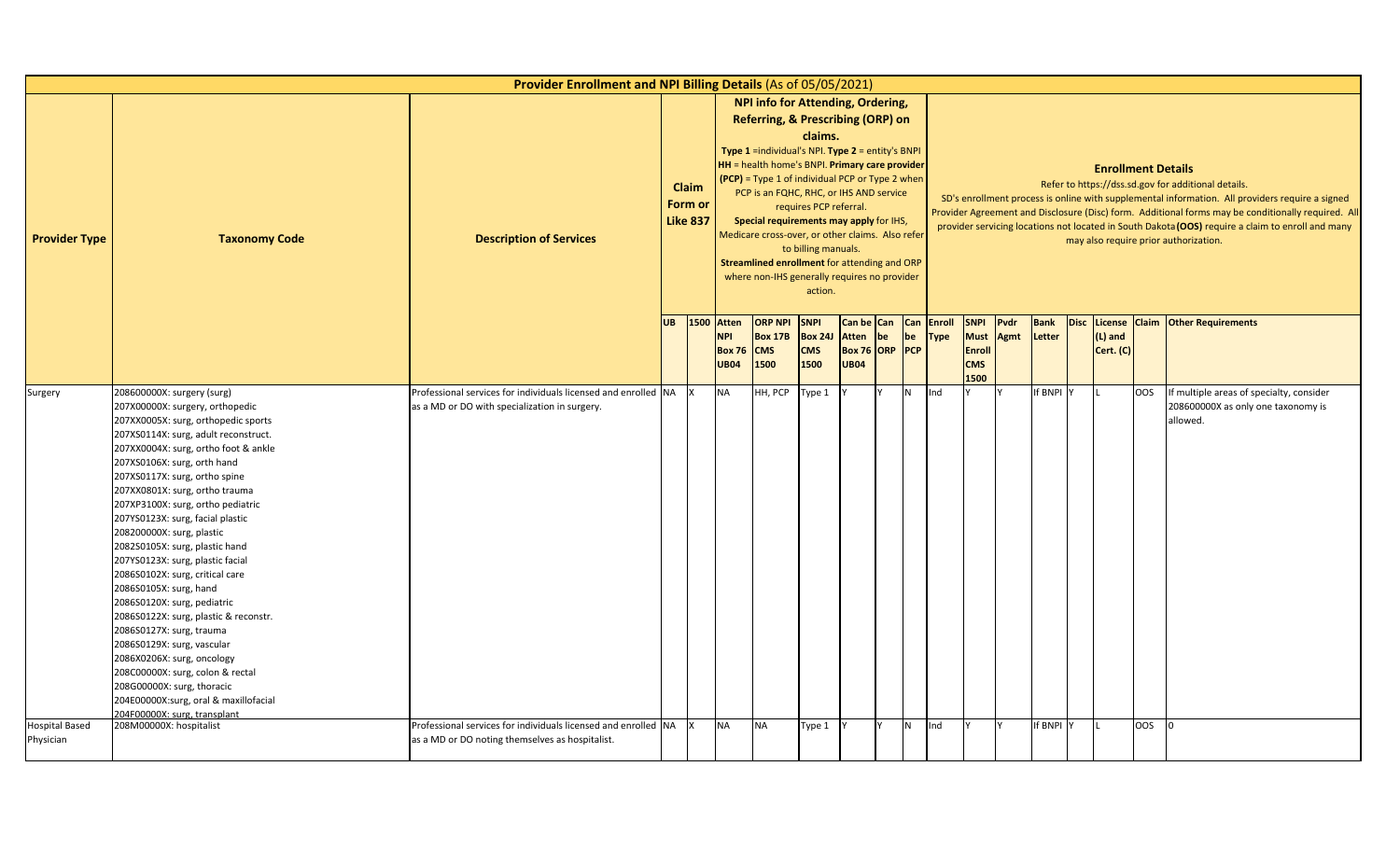|                                    |                                                                                                                                                                                                                                                                                                                                                                                                                                                                                                                                                                                                                                                                                                                                                                                                                                            | Provider Enrollment and NPI Billing Details (As of 05/05/2021)                                                      |           |                                            |                                                                 |                                                                                                                                                                                                                                                                                                                                                                                                                                                                                       |                                                                     |                                                             |    |    |                           |                                                                  |                     |                       |             |                           |            |                                                                                                                                                                                                                                                                                                                                                                                                            |
|------------------------------------|--------------------------------------------------------------------------------------------------------------------------------------------------------------------------------------------------------------------------------------------------------------------------------------------------------------------------------------------------------------------------------------------------------------------------------------------------------------------------------------------------------------------------------------------------------------------------------------------------------------------------------------------------------------------------------------------------------------------------------------------------------------------------------------------------------------------------------------------|---------------------------------------------------------------------------------------------------------------------|-----------|--------------------------------------------|-----------------------------------------------------------------|---------------------------------------------------------------------------------------------------------------------------------------------------------------------------------------------------------------------------------------------------------------------------------------------------------------------------------------------------------------------------------------------------------------------------------------------------------------------------------------|---------------------------------------------------------------------|-------------------------------------------------------------|----|----|---------------------------|------------------------------------------------------------------|---------------------|-----------------------|-------------|---------------------------|------------|------------------------------------------------------------------------------------------------------------------------------------------------------------------------------------------------------------------------------------------------------------------------------------------------------------------------------------------------------------------------------------------------------------|
| <b>Provider Type</b>               | <b>Taxonomy Code</b>                                                                                                                                                                                                                                                                                                                                                                                                                                                                                                                                                                                                                                                                                                                                                                                                                       | <b>Description of Services</b>                                                                                      |           | <b>Claim</b><br>Form or<br><b>Like 837</b> |                                                                 | NPI info for Attending, Ordering,<br>Referring, & Prescribing (ORP) on<br><b>Type 1</b> = individual's NPI. Type $2$ = entity's BNPI<br>HH = health home's BNPI. Primary care provider<br>$(PCP)$ = Type 1 of individual PCP or Type 2 when<br>PCP is an FQHC, RHC, or IHS AND service<br>Special requirements may apply for IHS,<br>Medicare cross-over, or other claims. Also refer<br>Streamlined enrollment for attending and ORP<br>where non-IHS generally requires no provider | claims.<br>requires PCP referral.<br>to billing manuals.<br>action. |                                                             |    |    |                           |                                                                  |                     |                       |             | <b>Enrollment Details</b> |            | Refer to https://dss.sd.gov for additional details.<br>SD's enrollment process is online with supplemental information. All providers require a signed<br>Provider Agreement and Disclosure (Disc) form. Additional forms may be conditionally required. All<br>provider servicing locations not located in South Dakota (OOS) require a claim to enroll and many<br>may also require prior authorization. |
|                                    |                                                                                                                                                                                                                                                                                                                                                                                                                                                                                                                                                                                                                                                                                                                                                                                                                                            |                                                                                                                     | <b>UB</b> |                                            | <b>1500 Atten</b><br><b>NPI</b><br><b>Box 76</b><br><b>UB04</b> | <b>ORP NPI</b><br><b>Box 17B</b><br><b>CMS</b><br>1500                                                                                                                                                                                                                                                                                                                                                                                                                                | <b>SNPI</b><br><b>Box 24J</b><br><b>CMS</b><br>1500                 | Can be Can<br><b>Atten</b><br>Box 76 ORP PCP<br><b>UB04</b> | be | be | Can Enroll<br><b>Type</b> | <b>SNPI</b><br><b>Must</b><br><b>Enrol</b><br><b>CMS</b><br>1500 | Pvdr<br><b>Agmt</b> | <b>Bank</b><br>Letter | <b>Disc</b> | $(L)$ and<br>Cert. (C)    |            | License Claim Other Requirements                                                                                                                                                                                                                                                                                                                                                                           |
| Surgery                            | 208600000X: surgery (surg)<br>207X00000X: surgery, orthopedic<br>207XX0005X: surg, orthopedic sports<br>207XS0114X: surg, adult reconstruct.<br>207XX0004X: surg, ortho foot & ankle<br>207XS0106X: surg, orth hand<br>207XS0117X: surg, ortho spine<br>207XX0801X: surg, ortho trauma<br>207XP3100X: surg, ortho pediatric<br>207YS0123X: surg, facial plastic<br>208200000X: surg, plastic<br>2082S0105X: surg, plastic hand<br>207YS0123X: surg, plastic facial<br>2086S0102X: surg, critical care<br>2086S0105X: surg, hand<br>2086S0120X: surg, pediatric<br>2086S0122X: surg, plastic & reconstr.<br>2086S0127X: surg, trauma<br>2086S0129X: surg, vascular<br>2086X0206X: surg, oncology<br>208C00000X: surg, colon & rectal<br>208G00000X: surg, thoracic<br>204E00000X:surg, oral & maxillofacial<br>204F00000X: surg, transplant | Professional services for individuals licensed and enrolled NA<br>as a MD or DO with specialization in surgery.     |           |                                            | <b>NA</b>                                                       | HH, PCP                                                                                                                                                                                                                                                                                                                                                                                                                                                                               | Type 1                                                              |                                                             |    | N  | Ind                       |                                                                  |                     | If BNPI Y             |             |                           | <b>OOS</b> | If multiple areas of specialty, consider<br>208600000X as only one taxonomy is<br>allowed.                                                                                                                                                                                                                                                                                                                 |
| <b>Hospital Based</b><br>Physician | 208M00000X: hospitalist                                                                                                                                                                                                                                                                                                                                                                                                                                                                                                                                                                                                                                                                                                                                                                                                                    | Professional services for individuals licensed and enrolled NA X<br>as a MD or DO noting themselves as hospitalist. |           |                                            | <b>NA</b>                                                       | <b>NA</b>                                                                                                                                                                                                                                                                                                                                                                                                                                                                             | Type 1                                                              |                                                             |    | N  | Ind                       |                                                                  |                     | If BNPI Y             |             |                           | 00S        |                                                                                                                                                                                                                                                                                                                                                                                                            |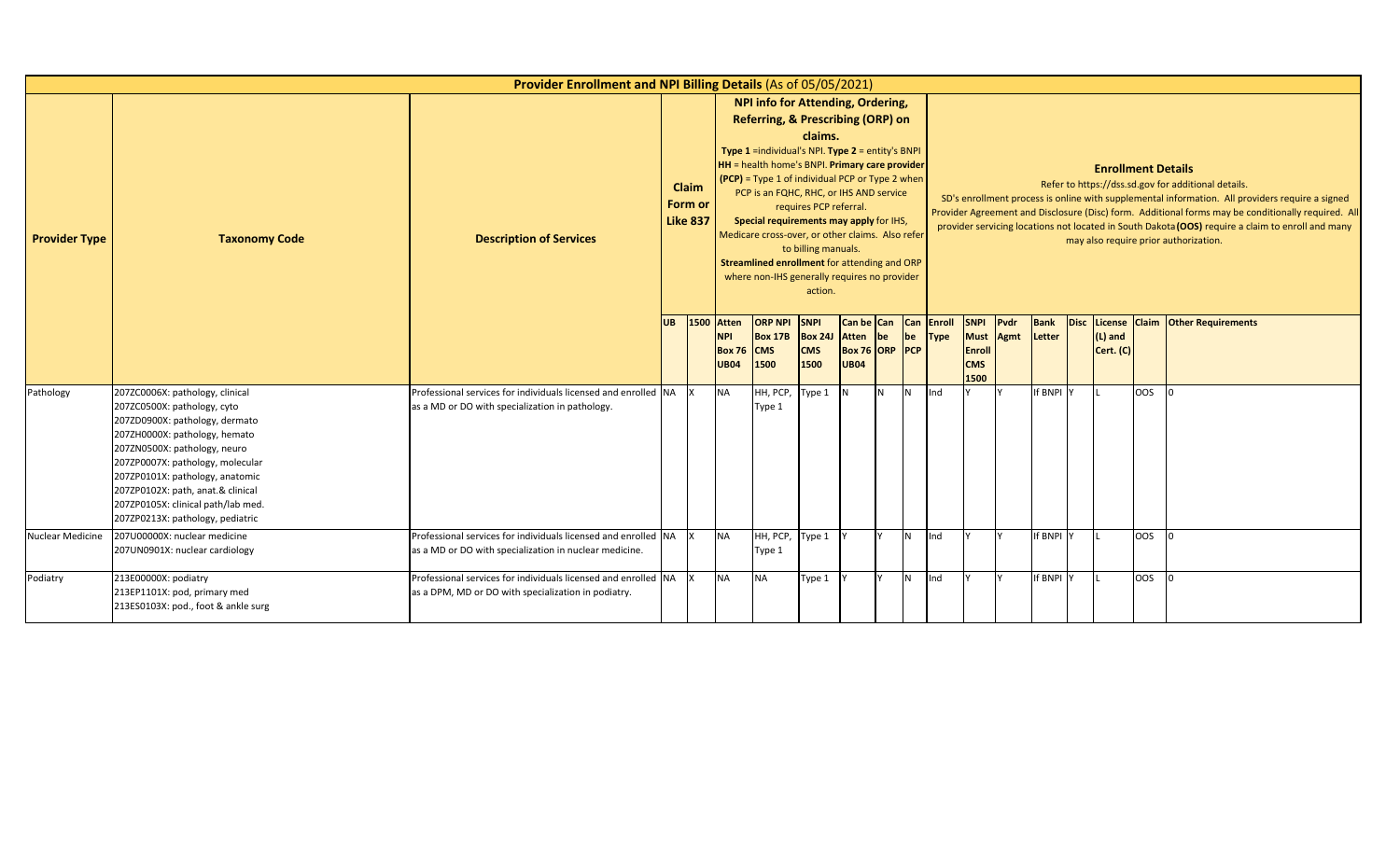|                         |                                                                                                                                                                                                                                                                                                                                                         | Provider Enrollment and NPI Billing Details (As of 05/05/2021)                                                           |           |                                            |                                                            |                                                                                                                                                                                                                                                                                                                                                                                                                                                                                               |                                                                     |                                                         |     |                |                           |                                                                   |              |           |                           |       |                                                                                                                                                                                                                                                                                                                                                                                                            |
|-------------------------|---------------------------------------------------------------------------------------------------------------------------------------------------------------------------------------------------------------------------------------------------------------------------------------------------------------------------------------------------------|--------------------------------------------------------------------------------------------------------------------------|-----------|--------------------------------------------|------------------------------------------------------------|-----------------------------------------------------------------------------------------------------------------------------------------------------------------------------------------------------------------------------------------------------------------------------------------------------------------------------------------------------------------------------------------------------------------------------------------------------------------------------------------------|---------------------------------------------------------------------|---------------------------------------------------------|-----|----------------|---------------------------|-------------------------------------------------------------------|--------------|-----------|---------------------------|-------|------------------------------------------------------------------------------------------------------------------------------------------------------------------------------------------------------------------------------------------------------------------------------------------------------------------------------------------------------------------------------------------------------------|
| <b>Provider Type</b>    | <b>Taxonomy Code</b>                                                                                                                                                                                                                                                                                                                                    | <b>Description of Services</b>                                                                                           |           | <b>Claim</b><br>Form or<br><b>Like 837</b> |                                                            | <b>NPI info for Attending, Ordering,</b><br><b>Referring, &amp; Prescribing (ORP) on</b><br>Type 1 =individual's NPI. Type 2 = entity's BNPI<br>HH = health home's BNPI. Primary care provider<br>$(PCP)$ = Type 1 of individual PCP or Type 2 when<br>PCP is an FQHC, RHC, or IHS AND service<br>Special requirements may apply for IHS,<br>Medicare cross-over, or other claims. Also refer<br>Streamlined enrollment for attending and ORP<br>where non-IHS generally requires no provider | claims.<br>requires PCP referral.<br>to billing manuals.<br>action. |                                                         |     |                |                           |                                                                   |              |           | <b>Enrollment Details</b> |       | Refer to https://dss.sd.gov for additional details.<br>SD's enrollment process is online with supplemental information. All providers require a signed<br>Provider Agreement and Disclosure (Disc) form. Additional forms may be conditionally required. All<br>provider servicing locations not located in South Dakota (OOS) require a claim to enroll and many<br>may also require prior authorization. |
| Pathology               |                                                                                                                                                                                                                                                                                                                                                         |                                                                                                                          | <b>UB</b> | 1500                                       | <b>Atten</b><br><b>NPI</b><br><b>Box 76</b><br><b>UB04</b> | <b>ORP NPI</b><br><b>Box 17B</b><br><b>CMS</b><br>1500                                                                                                                                                                                                                                                                                                                                                                                                                                        | <b>SNPI</b><br><b>Box 24J</b><br><b>CMS</b><br>1500                 | Can be Can<br>Atten be<br>Box 76 ORP PCP<br><b>UB04</b> |     | be             | <b>Can Enroll</b><br>Type | <b>SNPI</b><br><b>Must</b><br><b>Enroll</b><br><b>CMS</b><br>1500 | Pvdr<br>Agmt | Letter    | $(L)$ and<br>Cert. (C)    |       | <b>Bank</b> Disc License Claim Other Requirements                                                                                                                                                                                                                                                                                                                                                          |
|                         | 207ZC0006X: pathology, clinical<br>207ZC0500X: pathology, cyto<br>207ZD0900X: pathology, dermato<br>207ZH0000X: pathology, hemato<br>207ZN0500X: pathology, neuro<br>207ZP0007X: pathology, molecular<br>207ZP0101X: pathology, anatomic<br>207ZP0102X: path, anat.& clinical<br>207ZP0105X: clinical path/lab med.<br>207ZP0213X: pathology, pediatric | Professional services for individuals licensed and enrolled NA<br>as a MD or DO with specialization in pathology.        |           |                                            | <b>NA</b>                                                  | HH, PCP,<br>Type 1                                                                                                                                                                                                                                                                                                                                                                                                                                                                            | Type 1                                                              | N.                                                      | IN. | <b>IN</b>      | Ind                       |                                                                   |              | If BNPI Y |                           | OOS   | $\overline{10}$                                                                                                                                                                                                                                                                                                                                                                                            |
| <b>Nuclear Medicine</b> | 207U00000X: nuclear medicine<br>207UN0901X: nuclear cardiology                                                                                                                                                                                                                                                                                          | Professional services for individuals licensed and enrolled NA<br>as a MD or DO with specialization in nuclear medicine. |           |                                            | <b>NA</b>                                                  | HH, PCP, Type 1<br>Type 1                                                                                                                                                                                                                                                                                                                                                                                                                                                                     |                                                                     |                                                         |     | IN.            | Ind                       |                                                                   |              | If BNPI Y |                           | OOS 0 |                                                                                                                                                                                                                                                                                                                                                                                                            |
| Podiatry                | 213E00000X: podiatry<br>213EP1101X: pod, primary med<br>213ES0103X: pod., foot & ankle surg                                                                                                                                                                                                                                                             | Professional services for individuals licensed and enrolled NA<br>as a DPM, MD or DO with specialization in podiatry.    |           |                                            | <b>NA</b>                                                  | <b>NA</b>                                                                                                                                                                                                                                                                                                                                                                                                                                                                                     | Type 1                                                              |                                                         |     | N <sub>1</sub> | Ind                       |                                                                   |              | If BNPI Y |                           | OOS   | <b>l</b> o                                                                                                                                                                                                                                                                                                                                                                                                 |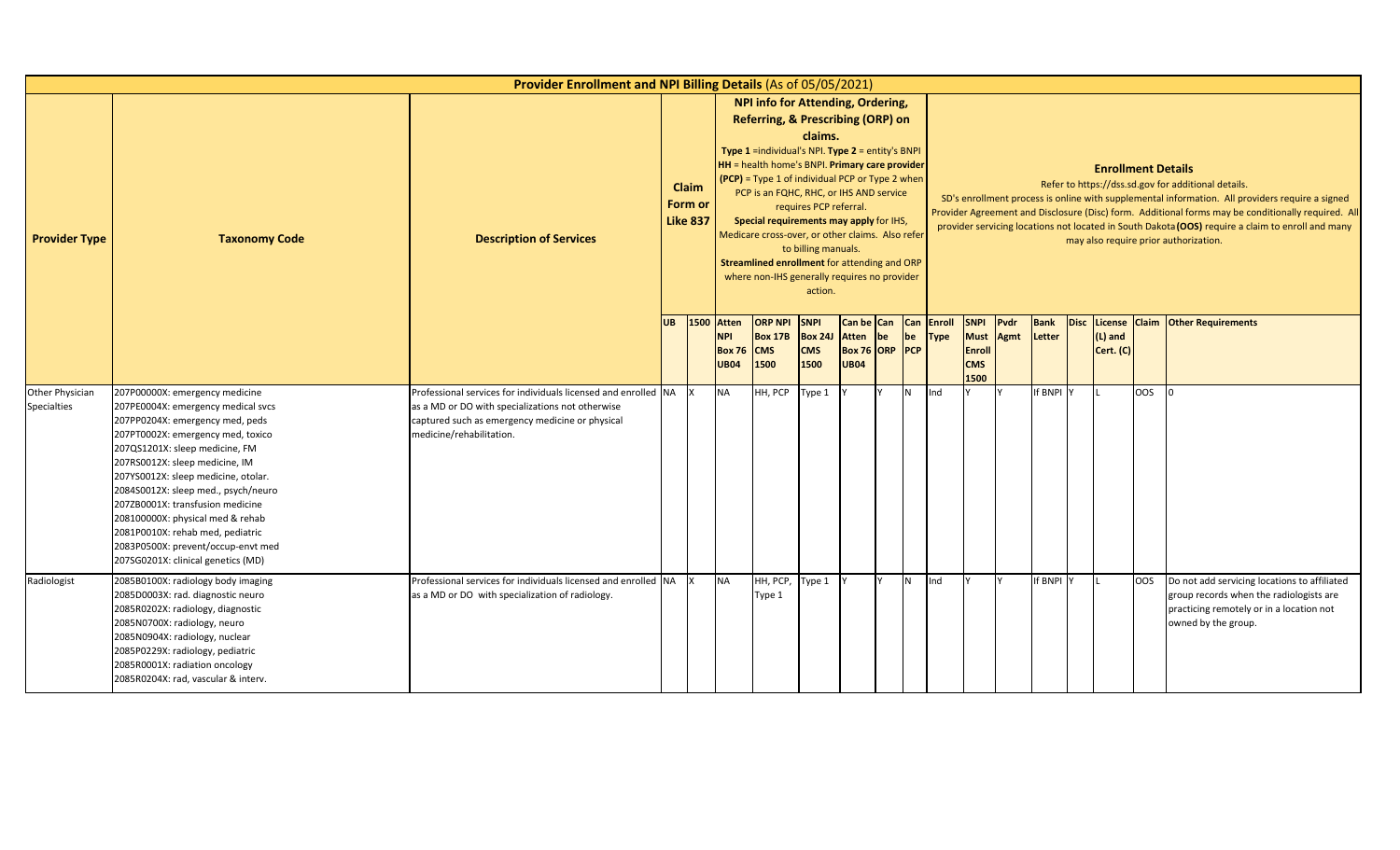|                                       |                                                                                                                                                                                                                                                                                                                                                                                                                                                                                        | Provider Enrollment and NPI Billing Details (As of 05/05/2021)                                                                                                                                    |           |                                     |                                                     |                                                                                                                                                                                                                                                                                                                                                                                                                                                                                    |                                                                     |                                                      |    |                  |                       |                                                                   |              |                       |                           |     |                                                                                                                                                                                                                                                                                                                                                                                                            |
|---------------------------------------|----------------------------------------------------------------------------------------------------------------------------------------------------------------------------------------------------------------------------------------------------------------------------------------------------------------------------------------------------------------------------------------------------------------------------------------------------------------------------------------|---------------------------------------------------------------------------------------------------------------------------------------------------------------------------------------------------|-----------|-------------------------------------|-----------------------------------------------------|------------------------------------------------------------------------------------------------------------------------------------------------------------------------------------------------------------------------------------------------------------------------------------------------------------------------------------------------------------------------------------------------------------------------------------------------------------------------------------|---------------------------------------------------------------------|------------------------------------------------------|----|------------------|-----------------------|-------------------------------------------------------------------|--------------|-----------------------|---------------------------|-----|------------------------------------------------------------------------------------------------------------------------------------------------------------------------------------------------------------------------------------------------------------------------------------------------------------------------------------------------------------------------------------------------------------|
| <b>Provider Type</b>                  | <b>Taxonomy Code</b>                                                                                                                                                                                                                                                                                                                                                                                                                                                                   | <b>Description of Services</b>                                                                                                                                                                    |           | Claim<br>Form or<br><b>Like 837</b> |                                                     | <b>NPI info for Attending, Ordering,</b><br>Referring, & Prescribing (ORP) on<br>Type 1 =individual's NPI. Type 2 = entity's BNPI<br>HH = health home's BNPI. Primary care provider<br>$(PCP)$ = Type 1 of individual PCP or Type 2 when<br>PCP is an FQHC, RHC, or IHS AND service<br>Special requirements may apply for IHS,<br>Medicare cross-over, or other claims. Also refer<br>Streamlined enrollment for attending and ORP<br>where non-IHS generally requires no provider | claims.<br>requires PCP referral.<br>to billing manuals.<br>action. |                                                      |    |                  |                       |                                                                   |              |                       | <b>Enrollment Details</b> |     | Refer to https://dss.sd.gov for additional details.<br>SD's enrollment process is online with supplemental information. All providers require a signed<br>Provider Agreement and Disclosure (Disc) form. Additional forms may be conditionally required. All<br>provider servicing locations not located in South Dakota (OOS) require a claim to enroll and many<br>may also require prior authorization. |
|                                       |                                                                                                                                                                                                                                                                                                                                                                                                                                                                                        |                                                                                                                                                                                                   | <b>UB</b> | 1500                                | Atten<br><b>NPI</b><br><b>Box 76</b><br><b>UB04</b> | <b>ORP NPI</b><br><b>Box 17B</b><br><b>CMS</b><br>1500                                                                                                                                                                                                                                                                                                                                                                                                                             | <b>SNPI</b><br><b>Box 24J</b><br><b>CMS</b><br>1500                 | Can be Can<br>Atten<br>Box 76 ORP PCP<br><b>UB04</b> | be | <b>Can</b><br>be | Enroll<br><b>Type</b> | <b>SNPI</b><br><b>Must</b><br><b>Enroll</b><br><b>CMS</b><br>1500 | Pvdr<br>Agmt | <b>Bank</b><br>Letter | $(L)$ and<br>Cert. (C)    |     | Disc License Claim Other Requirements                                                                                                                                                                                                                                                                                                                                                                      |
| Other Physician<br><b>Specialties</b> | 207P00000X: emergency medicine<br>207PE0004X: emergency medical svcs<br>207PP0204X: emergency med, peds<br>207PT0002X: emergency med, toxico<br>207QS1201X: sleep medicine, FM<br>207RS0012X: sleep medicine, IM<br>207YS0012X: sleep medicine, otolar.<br>2084S0012X: sleep med., psych/neuro<br>207ZB0001X: transfusion medicine<br>208100000X: physical med & rehab<br>2081P0010X: rehab med, pediatric<br>2083P0500X: prevent/occup-envt med<br>207SG0201X: clinical genetics (MD) | Professional services for individuals licensed and enrolled NA<br>as a MD or DO with specializations not otherwise<br>captured such as emergency medicine or physical<br>medicine/rehabilitation. |           |                                     | <b>NA</b>                                           | HH, PCP                                                                                                                                                                                                                                                                                                                                                                                                                                                                            | Type 1                                                              |                                                      |    | N <sub>1</sub>   | Ind                   |                                                                   |              | If BNPI Y             |                           | OOS |                                                                                                                                                                                                                                                                                                                                                                                                            |
| Radiologist                           | 2085B0100X: radiology body imaging<br>2085D0003X: rad. diagnostic neuro<br>2085R0202X: radiology, diagnostic<br>2085N0700X: radiology, neuro<br>2085N0904X: radiology, nuclear<br>2085P0229X: radiology, pediatric<br>2085R0001X: radiation oncology<br>2085R0204X: rad, vascular & interv.                                                                                                                                                                                            | Professional services for individuals licensed and enrolled NA X<br>as a MD or DO with specialization of radiology.                                                                               |           |                                     | <b>NA</b>                                           | HH, PCP,<br>Type 1                                                                                                                                                                                                                                                                                                                                                                                                                                                                 | Type 1                                                              |                                                      |    | N                | Ind                   |                                                                   |              | If BNPI Y             |                           | OOS | Do not add servicing locations to affiliated<br>group records when the radiologists are<br>practicing remotely or in a location not<br>owned by the group.                                                                                                                                                                                                                                                 |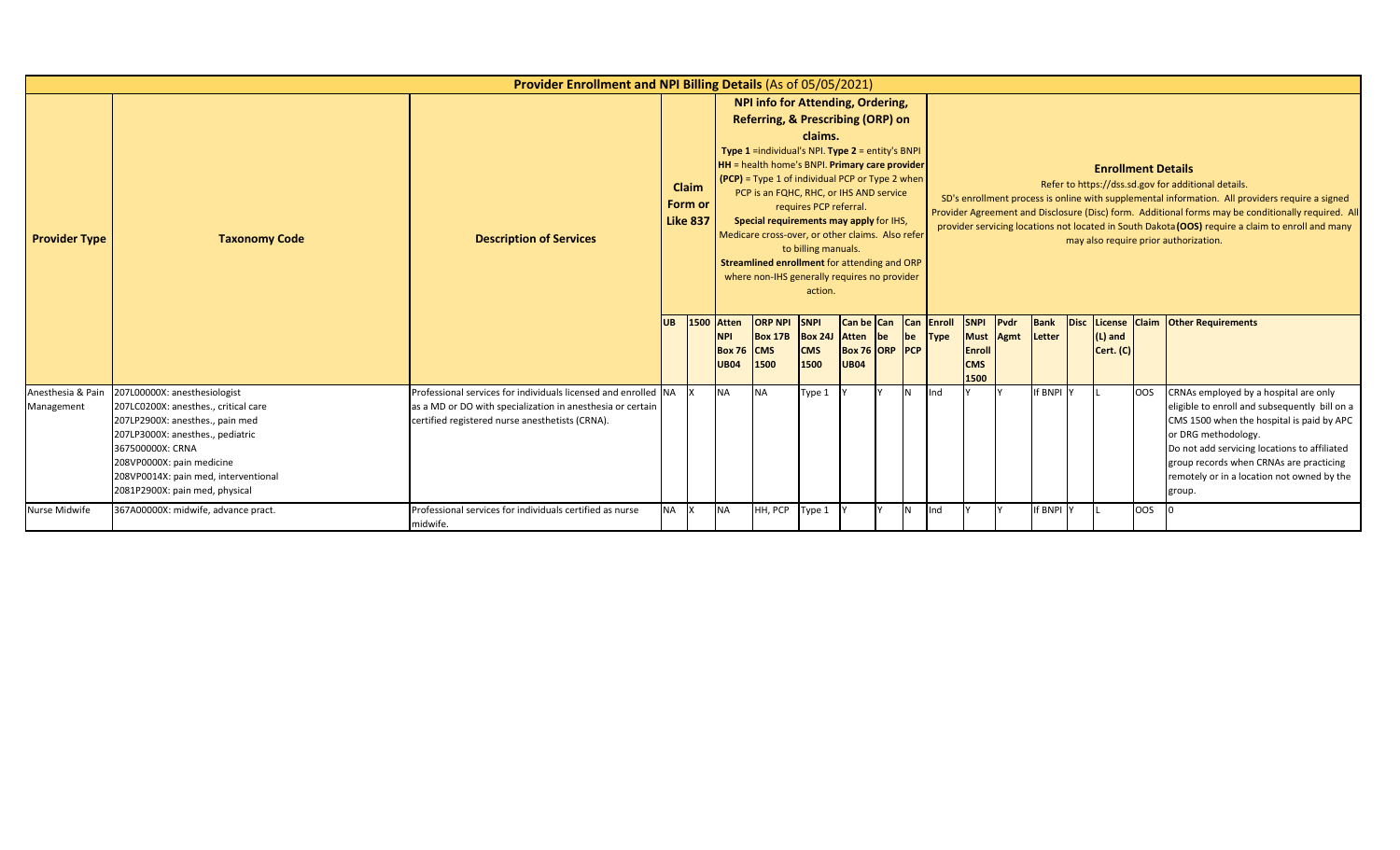|                                 |                                                                                                                                                                                                                                                                        | Provider Enrollment and NPI Billing Details (As of 05/05/2021)                                                                                                                   |            |                                     |                                                                 |                                                                                                                                                                                                                                                                                                                                                                                                                                                                                                |                                                                     |                                                                |            |                       |                                                                 |      |           |                           |            |                                                                                                                                                                                                                                                                                                                                                                                                            |
|---------------------------------|------------------------------------------------------------------------------------------------------------------------------------------------------------------------------------------------------------------------------------------------------------------------|----------------------------------------------------------------------------------------------------------------------------------------------------------------------------------|------------|-------------------------------------|-----------------------------------------------------------------|------------------------------------------------------------------------------------------------------------------------------------------------------------------------------------------------------------------------------------------------------------------------------------------------------------------------------------------------------------------------------------------------------------------------------------------------------------------------------------------------|---------------------------------------------------------------------|----------------------------------------------------------------|------------|-----------------------|-----------------------------------------------------------------|------|-----------|---------------------------|------------|------------------------------------------------------------------------------------------------------------------------------------------------------------------------------------------------------------------------------------------------------------------------------------------------------------------------------------------------------------------------------------------------------------|
| <b>Provider Type</b>            | <b>Taxonomy Code</b>                                                                                                                                                                                                                                                   | <b>Description of Services</b>                                                                                                                                                   |            | Claim<br>Form or<br><b>Like 837</b> |                                                                 | <b>NPI info for Attending, Ordering,</b><br>Referring, & Prescribing (ORP) on<br><b>Type 1</b> = individual's NPI. Type $2$ = entity's BNPI<br>HH = health home's BNPI. Primary care provider<br>$[$ (PCP) = Type 1 of individual PCP or Type 2 when<br>PCP is an FQHC, RHC, or IHS AND service<br>Special requirements may apply for IHS,<br>Medicare cross-over, or other claims. Also refer<br>Streamlined enrollment for attending and ORP<br>where non-IHS generally requires no provider | claims.<br>requires PCP referral.<br>to billing manuals.<br>action. |                                                                |            |                       |                                                                 |      |           | <b>Enrollment Details</b> |            | Refer to https://dss.sd.gov for additional details.<br>SD's enrollment process is online with supplemental information. All providers require a signed<br>Provider Agreement and Disclosure (Disc) form. Additional forms may be conditionally required. All<br>provider servicing locations not located in South Dakota (OOS) require a claim to enroll and many<br>may also require prior authorization. |
|                                 |                                                                                                                                                                                                                                                                        |                                                                                                                                                                                  | <b>IUB</b> |                                     | <b>1500 Atten</b><br><b>NPI</b><br><b>Box 76</b><br><b>UB04</b> | <b>ORP NPI</b><br><b>Box 17B</b><br><b>CMS</b><br>1500                                                                                                                                                                                                                                                                                                                                                                                                                                         | <b>SNPI</b><br><b>Box 24J</b><br><b>CMS</b><br>1500                 | Can be Can<br>Atten be<br><b>Box 76 ORP PCP</b><br><b>UB04</b> | Can<br> be | Enroll<br><b>Type</b> | <b>SNPI</b><br>Must Agmt<br><b>Enroll</b><br><b>CMS</b><br>1500 | Pvdr | Letter    | $(L)$ and<br>Cert. (C)    |            | <b>Bank</b> Disc License Claim Other Requirements                                                                                                                                                                                                                                                                                                                                                          |
| Anesthesia & Pain<br>Management | 207L00000X: anesthesiologist<br>207LC0200X: anesthes., critical care<br>207LP2900X: anesthes., pain med<br>207LP3000X: anesthes., pediatric<br>367500000X: CRNA<br>208VP0000X: pain medicine<br>208VP0014X: pain med, interventional<br>2081P2900X: pain med, physical | Professional services for individuals licensed and enrolled INA<br>as a MD or DO with specialization in anesthesia or certain<br>certified registered nurse anesthetists (CRNA). |            |                                     | <b>NA</b>                                                       | <b>NA</b>                                                                                                                                                                                                                                                                                                                                                                                                                                                                                      | Type 1                                                              |                                                                | IN.        | Ind                   |                                                                 |      | If BNPI Y |                           | <b>OOS</b> | CRNAs employed by a hospital are only<br>eligible to enroll and subsequently bill on a<br>CMS 1500 when the hospital is paid by APC<br>or DRG methodology.<br>Do not add servicing locations to affiliated<br>group records when CRNAs are practicing<br>remotely or in a location not owned by the<br>group.                                                                                              |
| <b>Nurse Midwife</b>            | 367A00000X: midwife, advance pract.                                                                                                                                                                                                                                    | Professional services for individuals certified as nurse<br>midwife.                                                                                                             | <b>NA</b>  |                                     | <b>NA</b>                                                       | HH, PCP                                                                                                                                                                                                                                                                                                                                                                                                                                                                                        | Type 1                                                              |                                                                | IN.        | Ind                   |                                                                 |      | If BNPI Y |                           | <b>OOS</b> |                                                                                                                                                                                                                                                                                                                                                                                                            |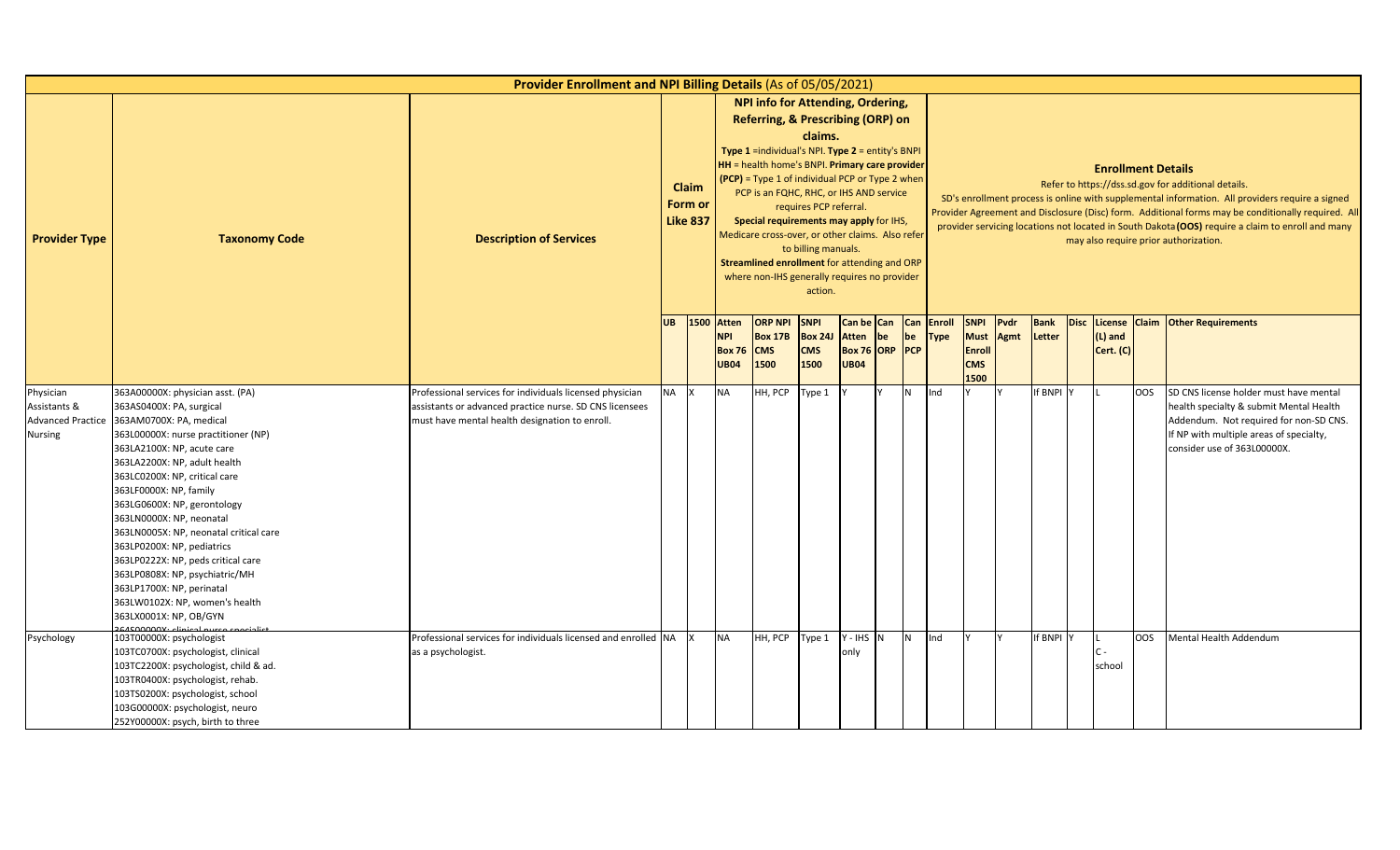|                                                                         |                                                                                                                                                                                                                                                                                                                                                                                                                                                                                                                                                             | Provider Enrollment and NPI Billing Details (As of 05/05/2021)                                                                                                        |           |                                     |                                                          |                                                                                                                                                                                                                                                                                                                                                                                                                                                                                    |                                                                     |                                                                 |    |                |                       |                                                            |              |                       |             |                           |     |                                                                                                                                                                                                                                                                                                                                                                                                            |
|-------------------------------------------------------------------------|-------------------------------------------------------------------------------------------------------------------------------------------------------------------------------------------------------------------------------------------------------------------------------------------------------------------------------------------------------------------------------------------------------------------------------------------------------------------------------------------------------------------------------------------------------------|-----------------------------------------------------------------------------------------------------------------------------------------------------------------------|-----------|-------------------------------------|----------------------------------------------------------|------------------------------------------------------------------------------------------------------------------------------------------------------------------------------------------------------------------------------------------------------------------------------------------------------------------------------------------------------------------------------------------------------------------------------------------------------------------------------------|---------------------------------------------------------------------|-----------------------------------------------------------------|----|----------------|-----------------------|------------------------------------------------------------|--------------|-----------------------|-------------|---------------------------|-----|------------------------------------------------------------------------------------------------------------------------------------------------------------------------------------------------------------------------------------------------------------------------------------------------------------------------------------------------------------------------------------------------------------|
| <b>Provider Type</b>                                                    | <b>Taxonomy Code</b>                                                                                                                                                                                                                                                                                                                                                                                                                                                                                                                                        | <b>Description of Services</b>                                                                                                                                        |           | Claim<br>Form or<br><b>Like 837</b> |                                                          | NPI info for Attending, Ordering,<br>Referring, & Prescribing (ORP) on<br>Type 1 =individual's NPI. Type 2 = entity's BNPI<br><b>HH</b> = health home's BNPI. Primary care provider<br>$(PCP)$ = Type 1 of individual PCP or Type 2 when<br>PCP is an FQHC, RHC, or IHS AND service<br>Special requirements may apply for IHS,<br>Medicare cross-over, or other claims. Also refer<br>Streamlined enrollment for attending and ORP<br>where non-IHS generally requires no provider | claims.<br>requires PCP referral.<br>to billing manuals.<br>action. |                                                                 |    |                |                       |                                                            |              |                       |             | <b>Enrollment Details</b> |     | Refer to https://dss.sd.gov for additional details.<br>SD's enrollment process is online with supplemental information. All providers require a signed<br>Provider Agreement and Disclosure (Disc) form. Additional forms may be conditionally required. All<br>provider servicing locations not located in South Dakota (OOS) require a claim to enroll and many<br>may also require prior authorization. |
|                                                                         |                                                                                                                                                                                                                                                                                                                                                                                                                                                                                                                                                             |                                                                                                                                                                       | UB        |                                     | 1500 Atten<br><b>NPI</b><br><b>Box 76</b><br><b>UB04</b> | <b>ORP NPI</b><br><b>Box 17B</b><br><b>CMS</b><br>1500                                                                                                                                                                                                                                                                                                                                                                                                                             | <b>SNPI</b><br><b>Box 24J</b><br><b>CMS</b><br>1500                 | Can be Can Can<br><b>Atten</b><br>Box 76 ORP PCP<br><b>UB04</b> | be | be             | Enroll<br><b>Type</b> | <b>SNPI</b><br><b>Must</b><br>Enroll<br><b>CMS</b><br>1500 | Pvdr<br>Agmt | <b>Bank</b><br>Letter | <b>Disc</b> | $(L)$ and<br>Cert. (C)    |     | License Claim Other Requirements                                                                                                                                                                                                                                                                                                                                                                           |
| Physician<br>Assistants &<br><b>Advanced Practice</b><br><b>Nursing</b> | 363A00000X: physician asst. (PA)<br>363AS0400X: PA, surgical<br>363AM0700X: PA, medical<br>363L00000X: nurse practitioner (NP)<br>363LA2100X: NP, acute care<br>363LA2200X: NP, adult health<br>363LC0200X: NP, critical care<br>363LF0000X: NP, family<br>363LG0600X: NP, gerontology<br>363LN0000X: NP, neonatal<br>363LN0005X: NP, neonatal critical care<br>363LP0200X: NP, pediatrics<br>363LP0222X: NP, peds critical care<br>363LP0808X: NP, psychiatric/MH<br>363LP1700X: NP, perinatal<br>363LW0102X: NP, women's health<br>363LX0001X: NP, OB/GYN | Professional services for individuals licensed physician<br>assistants or advanced practice nurse. SD CNS licensees<br>must have mental health designation to enroll. | <b>NA</b> |                                     | <b>NA</b>                                                | HH, PCP                                                                                                                                                                                                                                                                                                                                                                                                                                                                            | ype 1                                                               |                                                                 |    | N <sub>1</sub> | Ind                   |                                                            |              | If BNPI               |             |                           | OOS | SD CNS license holder must have mental<br>health specialty & submit Mental Health<br>Addendum. Not required for non-SD CNS.<br>If NP with multiple areas of specialty,<br>consider use of 363L00000X.                                                                                                                                                                                                      |
| Psychology                                                              | 103T00000X: psychologist<br>103TC0700X: psychologist, clinical<br>103TC2200X: psychologist, child & ad.<br>103TR0400X: psychologist, rehab.<br>103TS0200X: psychologist, school<br>103G00000X: psychologist, neuro<br>252Y00000X: psych, birth to three                                                                                                                                                                                                                                                                                                     | Professional services for individuals licensed and enrolled NA<br>as a psychologist.                                                                                  |           |                                     | <b>NA</b>                                                | HH, PCP                                                                                                                                                                                                                                                                                                                                                                                                                                                                            | Type 1                                                              | $Y - IHS$ N<br>only                                             |    | I <sub>N</sub> | Ind                   |                                                            |              | If BNPI               |             | $C -$<br>school           | OOS | Mental Health Addendum                                                                                                                                                                                                                                                                                                                                                                                     |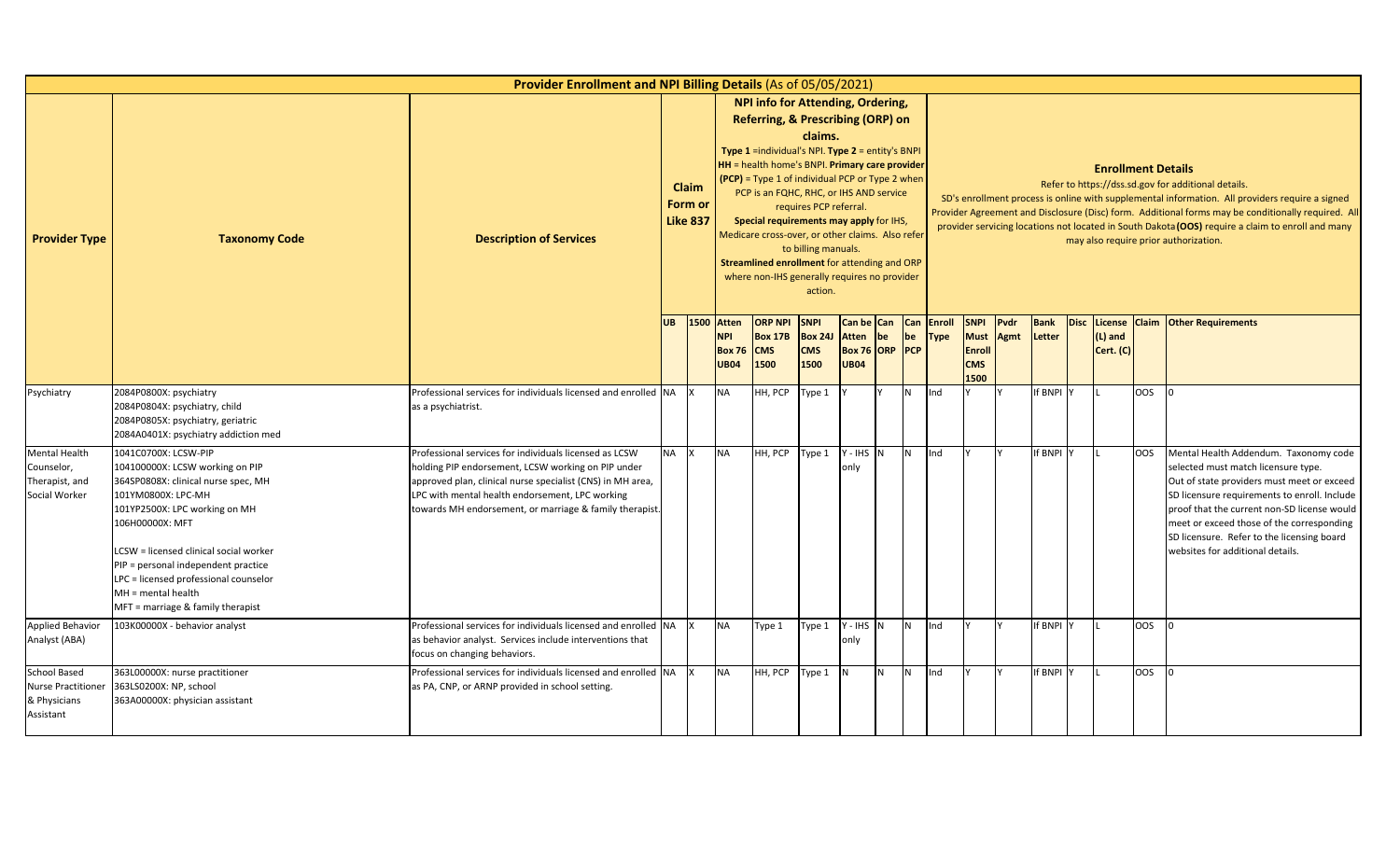|                                                                              |                                                                                                                                                                                                                                                                                                                                                                 | Provider Enrollment and NPI Billing Details (As of 05/05/2021)                                                                                                                                                                                                                           |           |                                     |                                                            |                                                                                                                                                                                                                                                                                                                                                                                                                                                                                     |                                                                     |                                               |                  |           |                              |                                                                   |                     |                       |                                        |                 |                                                                                                                                                                                                                                                                                                                                                                                                            |
|------------------------------------------------------------------------------|-----------------------------------------------------------------------------------------------------------------------------------------------------------------------------------------------------------------------------------------------------------------------------------------------------------------------------------------------------------------|------------------------------------------------------------------------------------------------------------------------------------------------------------------------------------------------------------------------------------------------------------------------------------------|-----------|-------------------------------------|------------------------------------------------------------|-------------------------------------------------------------------------------------------------------------------------------------------------------------------------------------------------------------------------------------------------------------------------------------------------------------------------------------------------------------------------------------------------------------------------------------------------------------------------------------|---------------------------------------------------------------------|-----------------------------------------------|------------------|-----------|------------------------------|-------------------------------------------------------------------|---------------------|-----------------------|----------------------------------------|-----------------|------------------------------------------------------------------------------------------------------------------------------------------------------------------------------------------------------------------------------------------------------------------------------------------------------------------------------------------------------------------------------------------------------------|
| <b>Provider Type</b>                                                         | <b>Taxonomy Code</b>                                                                                                                                                                                                                                                                                                                                            | <b>Description of Services</b>                                                                                                                                                                                                                                                           |           | Claim<br>Form or<br><b>Like 837</b> |                                                            | NPI info for Attending, Ordering,<br>Referring, & Prescribing (ORP) on<br><b>Type 1</b> = individual's NPI. Type $2$ = entity's BNPI<br>HH = health home's BNPI. Primary care provider<br>(PCP) = Type 1 of individual PCP or Type 2 when<br>PCP is an FQHC, RHC, or IHS AND service<br>Special requirements may apply for IHS,<br>Medicare cross-over, or other claims. Also refer<br>Streamlined enrollment for attending and ORP<br>where non-IHS generally requires no provider | claims.<br>requires PCP referral.<br>to billing manuals.<br>action. |                                               |                  |           |                              |                                                                   |                     |                       | <b>Enrollment Details</b>              |                 | Refer to https://dss.sd.gov for additional details.<br>SD's enrollment process is online with supplemental information. All providers require a signed<br>Provider Agreement and Disclosure (Disc) form. Additional forms may be conditionally required. All<br>provider servicing locations not located in South Dakota (OOS) require a claim to enroll and many<br>may also require prior authorization. |
|                                                                              |                                                                                                                                                                                                                                                                                                                                                                 |                                                                                                                                                                                                                                                                                          | <b>UB</b> | 1500                                | <b>Atten</b><br><b>NPI</b><br><b>Box 76</b><br><b>UB04</b> | <b>ORP NPI</b><br><b>Box 17B</b><br><b>CMS</b><br>1500                                                                                                                                                                                                                                                                                                                                                                                                                              | <b>SNPI</b><br><b>Box 24J</b><br><b>CMS</b><br>1500                 | <b>Atten</b><br>Box 76 ORP PCP<br><b>UB04</b> | Can be Can<br>be | Can<br>be | <b>Enroll</b><br><b>Type</b> | <b>SNPI</b><br><b>Must</b><br><b>Enroll</b><br><b>CMS</b><br>1500 | Pvdr<br><b>Agmt</b> | <b>Bank</b><br>Letter | Disc License<br>$(L)$ and<br>Cert. (C) |                 | <b>Claim Other Requirements</b>                                                                                                                                                                                                                                                                                                                                                                            |
| Psychiatry                                                                   | 2084P0800X: psychiatry<br>2084P0804X: psychiatry, child<br>2084P0805X: psychiatry, geriatric<br>2084A0401X: psychiatry addiction med                                                                                                                                                                                                                            | Professional services for individuals licensed and enrolled NA<br>as a psychiatrist.                                                                                                                                                                                                     |           |                                     | <b>NA</b>                                                  | HH, PCP                                                                                                                                                                                                                                                                                                                                                                                                                                                                             | Type 1                                                              |                                               |                  | N         | Ind                          |                                                                   |                     | If BNPI Y             |                                        | OOS             |                                                                                                                                                                                                                                                                                                                                                                                                            |
| Mental Health<br>Counselor,<br>Therapist, and<br>Social Worker               | 1041C0700X: LCSW-PIP<br>104100000X: LCSW working on PIP<br>364SP0808X: clinical nurse spec, MH<br>101YM0800X: LPC-MH<br>101YP2500X: LPC working on MH<br>106H00000X: MFT<br>LCSW = licensed clinical social worker<br>PIP = personal independent practice<br>LPC = licensed professional counselor<br>$MH = mental health$<br>MFT = marriage & family therapist | Professional services for individuals licensed as LCSW<br>holding PIP endorsement, LCSW working on PIP under<br>approved plan, clinical nurse specialist (CNS) in MH area,<br>LPC with mental health endorsement, LPC working<br>towards MH endorsement, or marriage & family therapist. | <b>NA</b> |                                     | <b>NA</b>                                                  | HH, PCP                                                                                                                                                                                                                                                                                                                                                                                                                                                                             | Type 1                                                              | $Y - IHS$ N<br>onlv                           |                  | IN.       | Ind                          |                                                                   |                     | If BNPI Y             |                                        | OOS             | Mental Health Addendum. Taxonomy code<br>selected must match licensure type.<br>Out of state providers must meet or exceed<br>SD licensure requirements to enroll. Include<br>proof that the current non-SD license would<br>meet or exceed those of the corresponding<br>SD licensure. Refer to the licensing board<br>websites for additional details.                                                   |
| <b>Applied Behavior</b><br>Analyst (ABA)                                     | 103K00000X - behavior analyst                                                                                                                                                                                                                                                                                                                                   | Professional services for individuals licensed and enrolled NA<br>as behavior analyst. Services include interventions that<br>focus on changing behaviors.                                                                                                                               |           |                                     | <b>NA</b>                                                  | Type 1                                                                                                                                                                                                                                                                                                                                                                                                                                                                              | Type 1                                                              | Y-IHS N<br>only                               |                  | <b>N</b>  | Ind                          |                                                                   |                     | If BNPI Y             |                                        | 00 <sub>2</sub> |                                                                                                                                                                                                                                                                                                                                                                                                            |
| <b>School Based</b><br><b>Nurse Practitione</b><br>& Physicians<br>Assistant | 363L00000X: nurse practitioner<br>363LS0200X: NP, school<br>363A00000X: physician assistant                                                                                                                                                                                                                                                                     | Professional services for individuals licensed and enrolled NA<br>as PA, CNP, or ARNP provided in school setting.                                                                                                                                                                        |           | <b>IX</b>                           | <b>NA</b>                                                  | HH, PCP                                                                                                                                                                                                                                                                                                                                                                                                                                                                             | Type 1                                                              | $\overline{N}$                                | IN.              | IN.       | Ind                          |                                                                   |                     | f BNPI Y              |                                        | <b>OOS</b>      |                                                                                                                                                                                                                                                                                                                                                                                                            |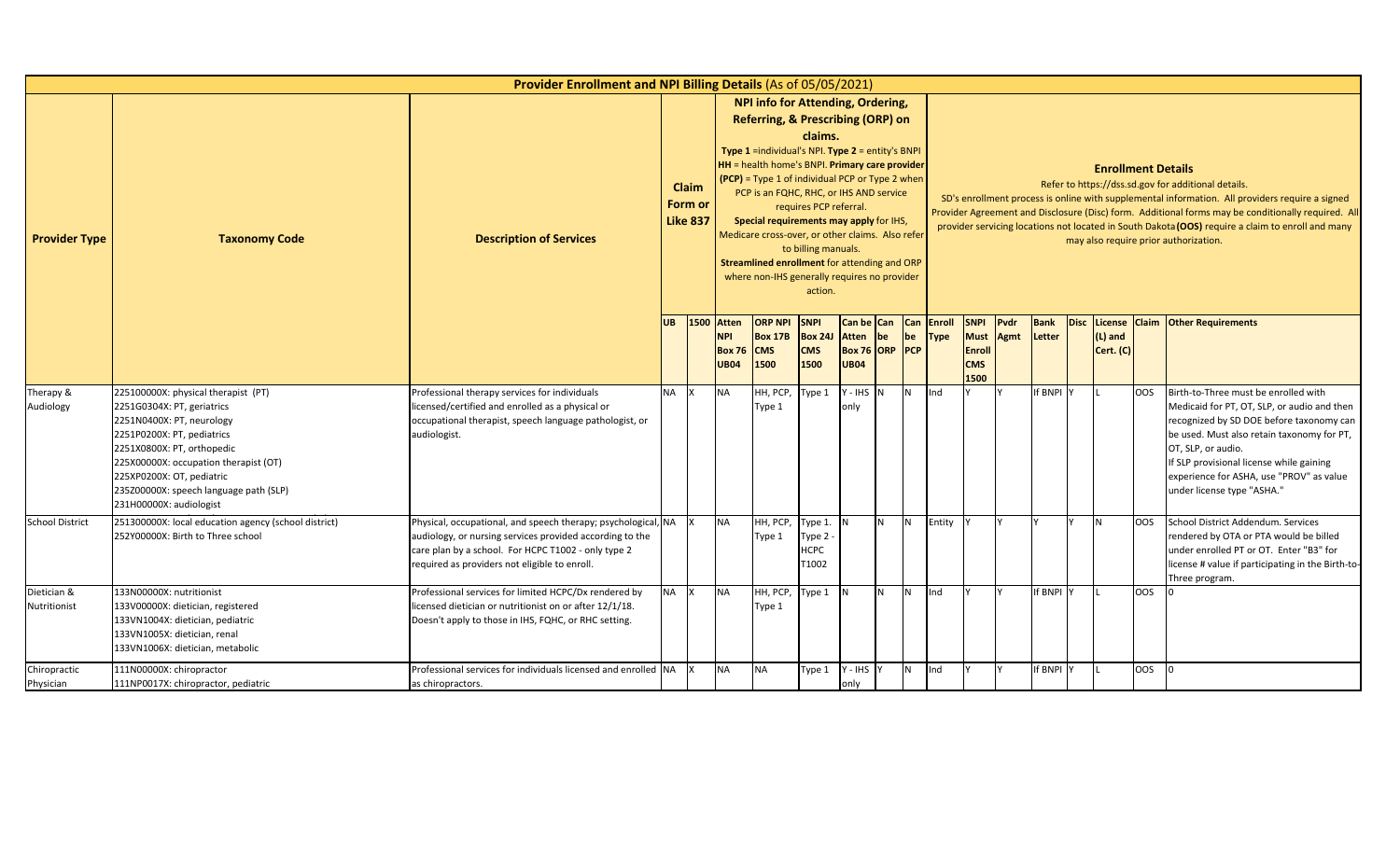|                             |                                                                                                                                                                                                                                                                                                       | Provider Enrollment and NPI Billing Details (As of 05/05/2021)                                                                                                                                                                   |           |                                     |                                                            |                                                                                                                                                                                                                                                                                                                                                                                                                                                                           |                                                                     |                                                                 |                |          |              |                                                          |      |                       |             |                           |            |                                                                                                                                                                                                                                                                                                                                                                                                            |
|-----------------------------|-------------------------------------------------------------------------------------------------------------------------------------------------------------------------------------------------------------------------------------------------------------------------------------------------------|----------------------------------------------------------------------------------------------------------------------------------------------------------------------------------------------------------------------------------|-----------|-------------------------------------|------------------------------------------------------------|---------------------------------------------------------------------------------------------------------------------------------------------------------------------------------------------------------------------------------------------------------------------------------------------------------------------------------------------------------------------------------------------------------------------------------------------------------------------------|---------------------------------------------------------------------|-----------------------------------------------------------------|----------------|----------|--------------|----------------------------------------------------------|------|-----------------------|-------------|---------------------------|------------|------------------------------------------------------------------------------------------------------------------------------------------------------------------------------------------------------------------------------------------------------------------------------------------------------------------------------------------------------------------------------------------------------------|
| <b>Provider Type</b>        | <b>Taxonomy Code</b>                                                                                                                                                                                                                                                                                  | <b>Description of Services</b>                                                                                                                                                                                                   |           | Claim<br>Form or<br><b>Like 837</b> |                                                            | NPI info for Attending, Ordering,<br>Referring, & Prescribing (ORP) on<br>Type 1 =individual's NPI. Type 2 = entity's BNPI<br>HH = health home's BNPI. Primary care provider<br>(PCP) = Type 1 of individual PCP or Type 2 when<br>PCP is an FQHC, RHC, or IHS AND service<br>Special requirements may apply for IHS,<br>Medicare cross-over, or other claims. Also refer<br>Streamlined enrollment for attending and ORP<br>where non-IHS generally requires no provider | claims.<br>requires PCP referral.<br>to billing manuals.<br>action. |                                                                 |                |          |              |                                                          |      |                       |             | <b>Enrollment Details</b> |            | Refer to https://dss.sd.gov for additional details.<br>SD's enrollment process is online with supplemental information. All providers require a signed<br>Provider Agreement and Disclosure (Disc) form. Additional forms may be conditionally required. All<br>provider servicing locations not located in South Dakota (OOS) require a claim to enroll and many<br>may also require prior authorization. |
|                             |                                                                                                                                                                                                                                                                                                       |                                                                                                                                                                                                                                  | <b>UB</b> | 1500                                | <b>Atten</b><br><b>NPI</b><br><b>Box 76</b><br><b>UB04</b> | <b>ORP NPI</b><br><b>Box 17B</b><br><b>CMS</b><br>1500                                                                                                                                                                                                                                                                                                                                                                                                                    | <b>SNPI</b><br><b>Box 24J</b><br><b>CMS</b><br>1500                 | Can be Can Can Enroll<br>Atten<br>Box 76 ORP PCP<br><b>UB04</b> | be             | be       | <b>Type</b>  | <b>SNPI</b><br>Must Agmt<br>Enroll<br><b>CMS</b><br>1500 | Pvdr | <b>Bank</b><br>Letter | <b>Disc</b> | $(L)$ and<br>Cert. (C)    |            | License Claim Other Requirements                                                                                                                                                                                                                                                                                                                                                                           |
| Therapy &<br>Audiology      | 225100000X: physical therapist (PT)<br>2251G0304X: PT, geriatrics<br>2251N0400X: PT, neurology<br>2251P0200X: PT, pediatrics<br>2251X0800X: PT, orthopedic<br>225X00000X: occupation therapist (OT)<br>225XP0200X: OT, pediatric<br>235Z00000X: speech language path (SLP)<br>231H00000X: audiologist | Professional therapy services for individuals<br>licensed/certified and enrolled as a physical or<br>occupational therapist, speech language pathologist, or<br>audiologist.                                                     | <b>NA</b> |                                     | <b>NA</b>                                                  | HH, PCP,<br>Type 1                                                                                                                                                                                                                                                                                                                                                                                                                                                        | Type 1                                                              | $Y - IHS$ N<br>only                                             |                | <b>N</b> | Ind          |                                                          |      | If BNPI Y             |             |                           | <b>OOS</b> | Birth-to-Three must be enrolled with<br>Medicaid for PT, OT, SLP, or audio and then<br>recognized by SD DOE before taxonomy can<br>be used. Must also retain taxonomy for PT,<br>OT, SLP, or audio.<br>If SLP provisional license while gaining<br>experience for ASHA, use "PROV" as value<br>under license type "ASHA."                                                                                  |
| <b>School District</b>      | 251300000X: local education agency (school district)<br>252Y00000X: Birth to Three school                                                                                                                                                                                                             | Physical, occupational, and speech therapy; psychological, NA<br>audiology, or nursing services provided according to the<br>care plan by a school. For HCPC T1002 - only type 2<br>required as providers not eligible to enroll |           |                                     | <b>NA</b>                                                  | HH, PCP,<br>Type 1                                                                                                                                                                                                                                                                                                                                                                                                                                                        | Type 1.<br>Type 2<br><b>HCPC</b><br>T1002                           | IN.                                                             | N <sub>1</sub> | IN.      | Entity       |                                                          |      |                       |             | IN.                       | <b>OOS</b> | School District Addendum, Services<br>rendered by OTA or PTA would be billed<br>under enrolled PT or OT. Enter "B3" for<br>license # value if participating in the Birth-to-<br>Three program.                                                                                                                                                                                                             |
| Dietician &<br>Nutritionist | 133N00000X: nutritionist<br>133V00000X: dietician, registered<br>133VN1004X: dietician, pediatric<br>133VN1005X: dietician, renal<br>133VN1006X: dietician, metabolic                                                                                                                                 | Professional services for limited HCPC/Dx rendered by<br>licensed dietician or nutritionist on or after 12/1/18.<br>Doesn't apply to those in IHS, FQHC, or RHC setting.                                                         | NA X      |                                     | <b>NA</b>                                                  | HH, PCP,<br>Type 1                                                                                                                                                                                                                                                                                                                                                                                                                                                        | Type 1                                                              | IN.                                                             | <b>N</b>       | IN.      | <b>I</b> Ind |                                                          |      | If BNPI Y             |             |                           | <b>OOS</b> |                                                                                                                                                                                                                                                                                                                                                                                                            |
| Chiropractic<br>Physician   | 111N00000X: chiropractor<br>111NP0017X: chiropractor, pediatric                                                                                                                                                                                                                                       | Professional services for individuals licensed and enrolled NA<br>as chiropractors.                                                                                                                                              |           |                                     | <b>NA</b>                                                  | <b>NA</b>                                                                                                                                                                                                                                                                                                                                                                                                                                                                 | Type 1                                                              | Y - IHS<br>only                                                 |                | N        | Ind          |                                                          |      | If BNPI \             |             |                           | OOS        |                                                                                                                                                                                                                                                                                                                                                                                                            |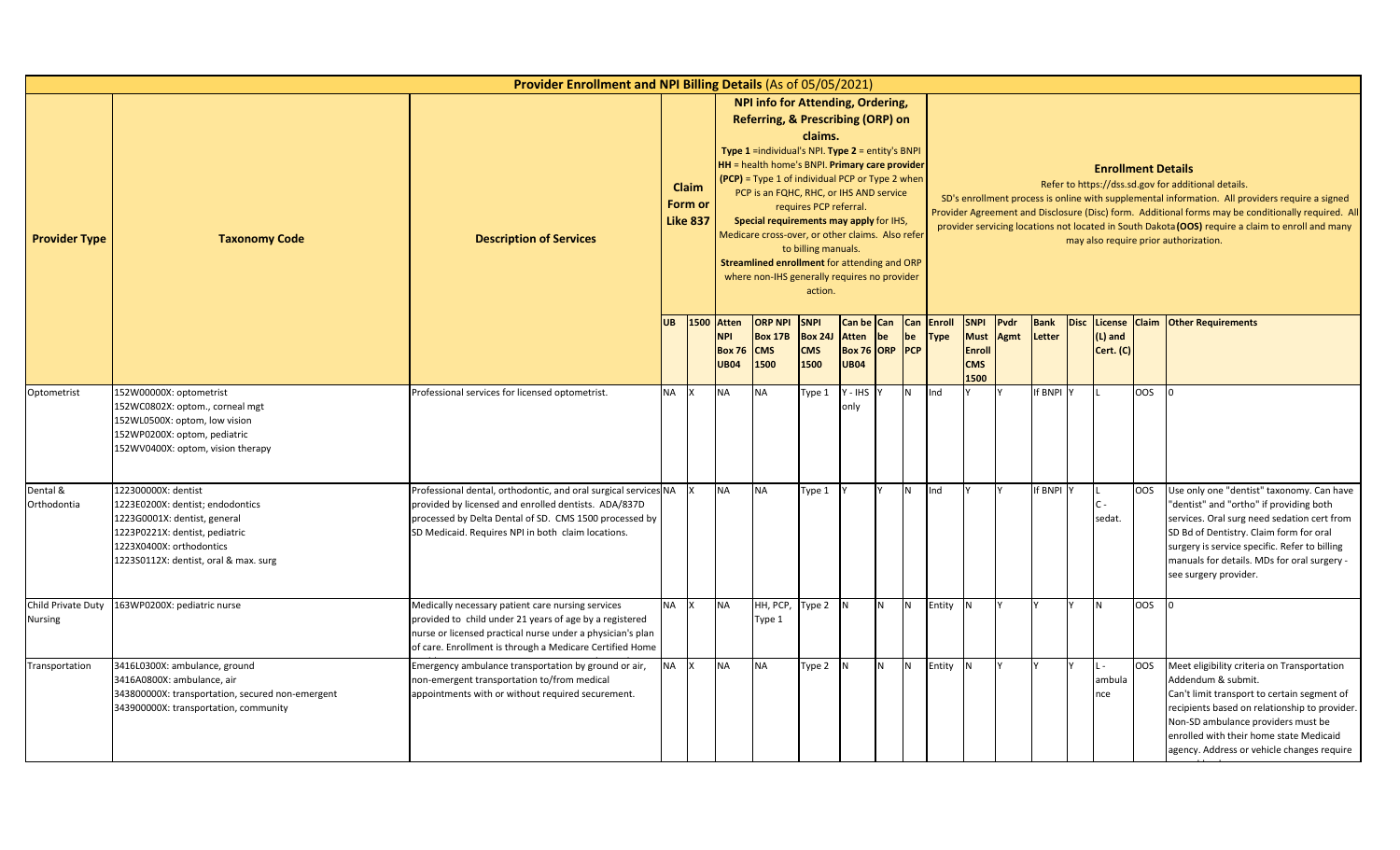|                                      |                                                                                                                                                                                                | <b>Provider Enrollment and NPI Billing Details (As of 05/05/2021)</b>                                                                                                                                                                   |           |                                     |                                                                 |                                                                                                                                                                                                                                                                                                                                                                                                                                                                             |                                                                     |                      |                                |                         |                              |                                                                   |              |                       |      |                                 |     |                                                                                                                                                                                                                                                                                                                                                                                                            |
|--------------------------------------|------------------------------------------------------------------------------------------------------------------------------------------------------------------------------------------------|-----------------------------------------------------------------------------------------------------------------------------------------------------------------------------------------------------------------------------------------|-----------|-------------------------------------|-----------------------------------------------------------------|-----------------------------------------------------------------------------------------------------------------------------------------------------------------------------------------------------------------------------------------------------------------------------------------------------------------------------------------------------------------------------------------------------------------------------------------------------------------------------|---------------------------------------------------------------------|----------------------|--------------------------------|-------------------------|------------------------------|-------------------------------------------------------------------|--------------|-----------------------|------|---------------------------------|-----|------------------------------------------------------------------------------------------------------------------------------------------------------------------------------------------------------------------------------------------------------------------------------------------------------------------------------------------------------------------------------------------------------------|
| <b>Provider Type</b>                 | <b>Taxonomy Code</b>                                                                                                                                                                           | <b>Description of Services</b>                                                                                                                                                                                                          |           | Claim<br>Form or<br><b>Like 837</b> |                                                                 | NPI info for Attending, Ordering,<br>Referring, & Prescribing (ORP) on<br>Type 1 =individual's NPI. Type 2 = entity's BNPI<br>HH = health home's BNPI. Primary care provider<br>$(PCP)$ = Type 1 of individual PCP or Type 2 when<br>PCP is an FQHC, RHC, or IHS AND service<br>Special requirements may apply for IHS,<br>Medicare cross-over, or other claims. Also refer<br>Streamlined enrollment for attending and ORP<br>where non-IHS generally requires no provider | claims.<br>requires PCP referral.<br>to billing manuals.<br>action. |                      |                                |                         |                              |                                                                   |              |                       |      | <b>Enrollment Details</b>       |     | Refer to https://dss.sd.gov for additional details.<br>SD's enrollment process is online with supplemental information. All providers require a signed<br>Provider Agreement and Disclosure (Disc) form. Additional forms may be conditionally required. All<br>provider servicing locations not located in South Dakota (OOS) require a claim to enroll and many<br>may also require prior authorization. |
|                                      |                                                                                                                                                                                                |                                                                                                                                                                                                                                         | <b>UB</b> |                                     | <b>1500 Atten</b><br><b>NPI</b><br><b>Box 76</b><br><b>UB04</b> | <b>ORP NPI</b><br><b>Box 17B</b><br><b>CMS</b><br>1500                                                                                                                                                                                                                                                                                                                                                                                                                      | <b>SNPI</b><br><b>Box 241</b><br><b>CMS</b><br>1500                 | Atten<br><b>UB04</b> | Can be Can<br>be<br>Box 76 ORP | Can<br>be<br><b>PCP</b> | <b>Enroll</b><br><b>Type</b> | <b>SNPI</b><br><b>Must</b><br><b>Enroll</b><br><b>CMS</b><br>1500 | Pvdr<br>Agmt | <b>Bank</b><br>Letter | Disc | License<br>(L) and<br>Cert. (C) |     | <b>Claim Other Requirements</b>                                                                                                                                                                                                                                                                                                                                                                            |
| Optometrist                          | 152W00000X: optometrist<br>152WC0802X: optom., corneal mgt<br>152WL0500X: optom, low vision<br>152WP0200X: optom, pediatric<br>152WV0400X: optom, vision therapy                               | Professional services for licensed optometrist.                                                                                                                                                                                         | <b>NA</b> |                                     | NA                                                              | <b>NA</b>                                                                                                                                                                                                                                                                                                                                                                                                                                                                   | Type 1                                                              | Y - IHS<br>only      |                                | <b>N</b>                | Ind                          |                                                                   |              | <b>f BNPI Y</b>       |      |                                 | OOS |                                                                                                                                                                                                                                                                                                                                                                                                            |
| Dental &<br>Orthodontia              | 122300000X: dentist<br>1223E0200X: dentist; endodontics<br>1223G0001X: dentist, general<br>1223P0221X: dentist, pediatric<br>1223X0400X: orthodontics<br>1223S0112X: dentist, oral & max. surg | Professional dental, orthodontic, and oral surgical services NA<br>provided by licensed and enrolled dentists. ADA/837D<br>processed by Delta Dental of SD. CMS 1500 processed by<br>SD Medicaid. Requires NPI in both claim locations. |           |                                     | NA                                                              | <b>NA</b>                                                                                                                                                                                                                                                                                                                                                                                                                                                                   | Type 1                                                              |                      |                                | <b>N</b>                | Ind                          |                                                                   |              | If BNPI Y             |      | $C -$<br>sedat.                 | OOS | Use only one "dentist" taxonomy. Can have<br>"dentist" and "ortho" if providing both<br>services. Oral surg need sedation cert from<br>SD Bd of Dentistry. Claim form for oral<br>surgery is service specific. Refer to billing<br>manuals for details. MDs for oral surgery -<br>see surgery provider.                                                                                                    |
| Child Private Duty<br><b>Nursing</b> | 163WP0200X: pediatric nurse                                                                                                                                                                    | Medically necessary patient care nursing services<br>provided to child under 21 years of age by a registered<br>nurse or licensed practical nurse under a physician's plan<br>of care. Enrollment is through a Medicare Certified Home  | <b>NA</b> |                                     | NA                                                              | HH, PCP,<br>Type 1                                                                                                                                                                                                                                                                                                                                                                                                                                                          | Type 2                                                              | IN.                  | N                              | <b>N</b>                | Entity                       | N                                                                 |              |                       |      | l N                             | OOS |                                                                                                                                                                                                                                                                                                                                                                                                            |
| Transportation                       | 3416L0300X: ambulance, ground<br>3416A0800X: ambulance, air<br>343800000X: transportation, secured non-emergent<br>343900000X: transportation, community                                       | Emergency ambulance transportation by ground or air,<br>non-emergent transportation to/from medical<br>appointments with or without required securement.                                                                                | <b>NA</b> |                                     | <b>NA</b>                                                       | <b>NA</b>                                                                                                                                                                                                                                                                                                                                                                                                                                                                   | Type 2                                                              | IN.                  | N                              | N                       | Entity                       | N                                                                 |              |                       |      | ambula<br>nce                   | OOS | Meet eligibility criteria on Transportation<br>Addendum & submit.<br>Can't limit transport to certain segment of<br>recipients based on relationship to provider.<br>Non-SD ambulance providers must be<br>enrolled with their home state Medicaid<br>agency. Address or vehicle changes require                                                                                                           |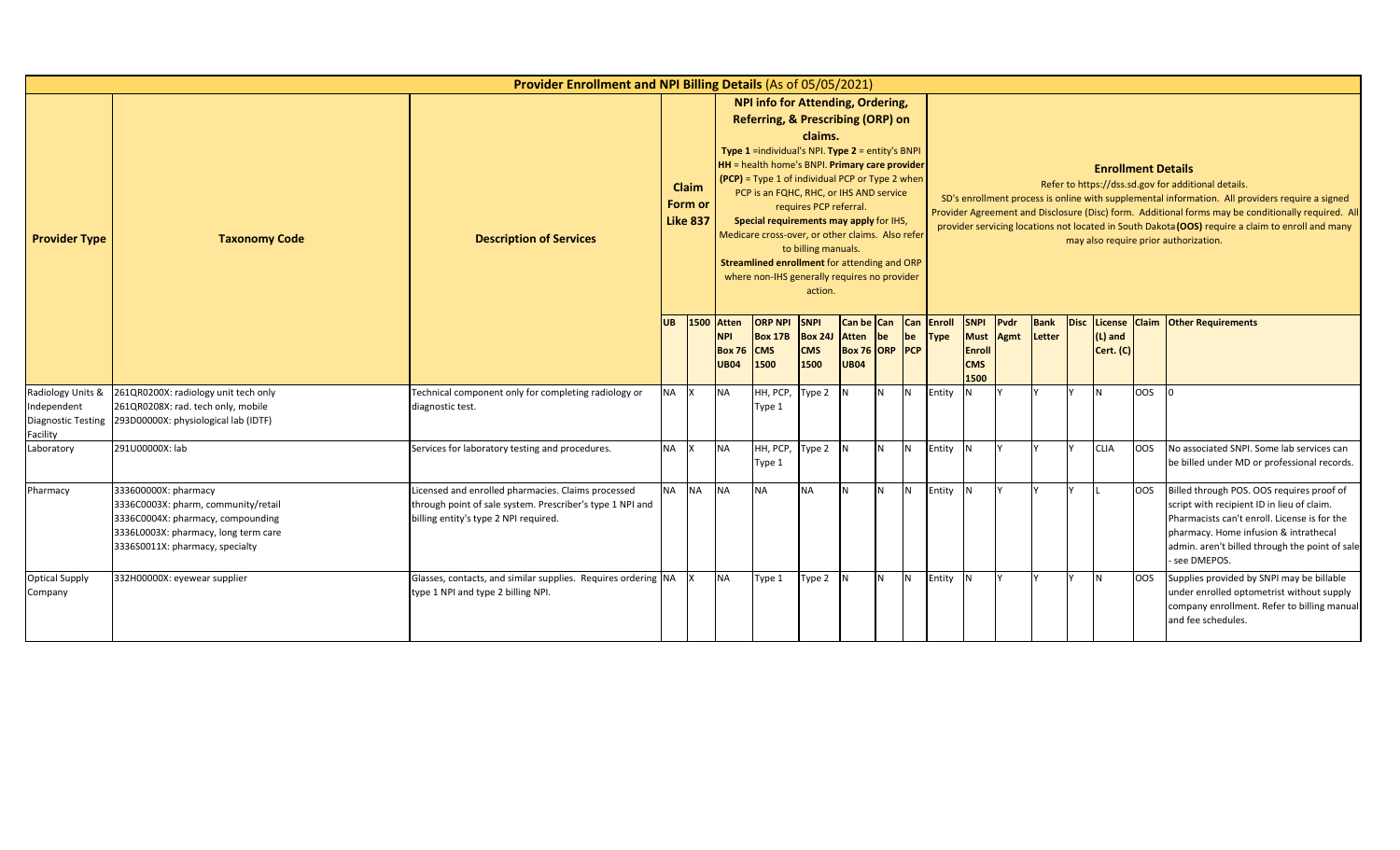|                                       |                                                                                                                                                                             | Provider Enrollment and NPI Billing Details (As of 05/05/2021)                                                                                           |           |                                     |                                                     |                                                                                                                                                                                                                                                                                                                                                                                                                                                                                  |                                                                     |                                                                    |          |           |                       |                                                                   |              |                       |                           |            |                                                                                                                                                                                                                                                                                                                                                                                                            |
|---------------------------------------|-----------------------------------------------------------------------------------------------------------------------------------------------------------------------------|----------------------------------------------------------------------------------------------------------------------------------------------------------|-----------|-------------------------------------|-----------------------------------------------------|----------------------------------------------------------------------------------------------------------------------------------------------------------------------------------------------------------------------------------------------------------------------------------------------------------------------------------------------------------------------------------------------------------------------------------------------------------------------------------|---------------------------------------------------------------------|--------------------------------------------------------------------|----------|-----------|-----------------------|-------------------------------------------------------------------|--------------|-----------------------|---------------------------|------------|------------------------------------------------------------------------------------------------------------------------------------------------------------------------------------------------------------------------------------------------------------------------------------------------------------------------------------------------------------------------------------------------------------|
| <b>Provider Type</b>                  | <b>Taxonomy Code</b>                                                                                                                                                        | <b>Description of Services</b>                                                                                                                           |           | Claim<br>Form or<br><b>Like 837</b> |                                                     | <b>NPI info for Attending, Ordering,</b><br>Referring, & Prescribing (ORP) on<br>Type 1 =individual's NPI. Type 2 = entity's BNPI<br>HH = health home's BNPI. Primary care provider<br>(PCP) = Type 1 of individual PCP or Type 2 when<br>PCP is an FQHC, RHC, or IHS AND service<br>Special requirements may apply for IHS,<br>Medicare cross-over, or other claims. Also refer<br>Streamlined enrollment for attending and ORP<br>where non-IHS generally requires no provider | claims.<br>requires PCP referral.<br>to billing manuals.<br>action. |                                                                    |          |           |                       |                                                                   |              |                       | <b>Enrollment Details</b> |            | Refer to https://dss.sd.gov for additional details.<br>SD's enrollment process is online with supplemental information. All providers require a signed<br>Provider Agreement and Disclosure (Disc) form. Additional forms may be conditionally required. All<br>provider servicing locations not located in South Dakota (OOS) require a claim to enroll and many<br>may also require prior authorization. |
| Radiology Units &<br>Independent      |                                                                                                                                                                             |                                                                                                                                                          | <b>UB</b> | 1500                                | Atten<br><b>NPI</b><br><b>Box 76</b><br><b>UB04</b> | <b>ORP NPI</b><br><b>Box 17B</b><br><b>CMS</b><br>1500                                                                                                                                                                                                                                                                                                                                                                                                                           | <b>SNPI</b><br><b>Box 24J</b><br><b>CMS</b><br>1500                 | Can be Can<br><b>Atten</b><br><b>Box 76 ORP PCP</b><br><b>UB04</b> | be       | Can<br>be | Enroll<br><b>Type</b> | <b>SNPI</b><br><b>Must</b><br><b>Enroll</b><br><b>CMS</b><br>1500 | Pvdr<br>Agmt | <b>Bank</b><br>Letter | $(L)$ and<br>Cert. (C)    |            | Disc License Claim Other Requirements                                                                                                                                                                                                                                                                                                                                                                      |
| <b>Diagnostic Testing</b><br>Facility | 261QR0200X: radiology unit tech only<br>261QR0208X: rad. tech only, mobile<br>293D00000X: physiological lab (IDTF)                                                          | Technical component only for completing radiology or<br>diagnostic test.                                                                                 | <b>NA</b> |                                     | <b>NA</b>                                           | HH, PCP,<br>Type 1                                                                                                                                                                                                                                                                                                                                                                                                                                                               | Type 2                                                              | IN.                                                                | N        | IN.       | Entity                |                                                                   |              |                       | N                         | OOS        | ١o                                                                                                                                                                                                                                                                                                                                                                                                         |
| Laboratory                            | 291U00000X: lab                                                                                                                                                             | Services for laboratory testing and procedures.                                                                                                          | <b>NA</b> |                                     | <b>NA</b>                                           | HH, PCP,<br>Type 1                                                                                                                                                                                                                                                                                                                                                                                                                                                               | Type 2                                                              | IN.                                                                | <b>N</b> | N         | Entity                |                                                                   |              |                       | <b>CLIA</b>               | <b>OOS</b> | No associated SNPI. Some lab services can<br>be billed under MD or professional records.                                                                                                                                                                                                                                                                                                                   |
| Pharmacy                              | 333600000X: pharmacy<br>3336C0003X: pharm, community/retail<br>3336C0004X: pharmacy, compounding<br>3336L0003X: pharmacy, long term care<br>3336S0011X: pharmacy, specialty | Licensed and enrolled pharmacies. Claims processed<br>through point of sale system. Prescriber's type 1 NPI and<br>billing entity's type 2 NPI required. | NA NA     |                                     | <b>NA</b>                                           | <b>NA</b>                                                                                                                                                                                                                                                                                                                                                                                                                                                                        | <b>NA</b>                                                           | <b>N</b>                                                           | <b>N</b> | IN.       | Entity                |                                                                   |              |                       |                           | <b>OOS</b> | Billed through POS. OOS requires proof of<br>script with recipient ID in lieu of claim.<br>Pharmacists can't enroll. License is for the<br>pharmacy. Home infusion & intrathecal<br>admin. aren't billed through the point of sale<br>- see DMEPOS.                                                                                                                                                        |
| <b>Optical Supply</b><br>Company      | 332H00000X: eyewear supplier                                                                                                                                                | Glasses, contacts, and similar supplies. Requires ordering NA X<br>type 1 NPI and type 2 billing NPI.                                                    |           |                                     | <b>NA</b>                                           | Type 1                                                                                                                                                                                                                                                                                                                                                                                                                                                                           | Type 2                                                              | IN.                                                                | N        | N         | Entity                |                                                                   |              |                       | N                         | <b>OOS</b> | Supplies provided by SNPI may be billable<br>under enrolled optometrist without supply<br>company enrollment. Refer to billing manual<br>and fee schedules.                                                                                                                                                                                                                                                |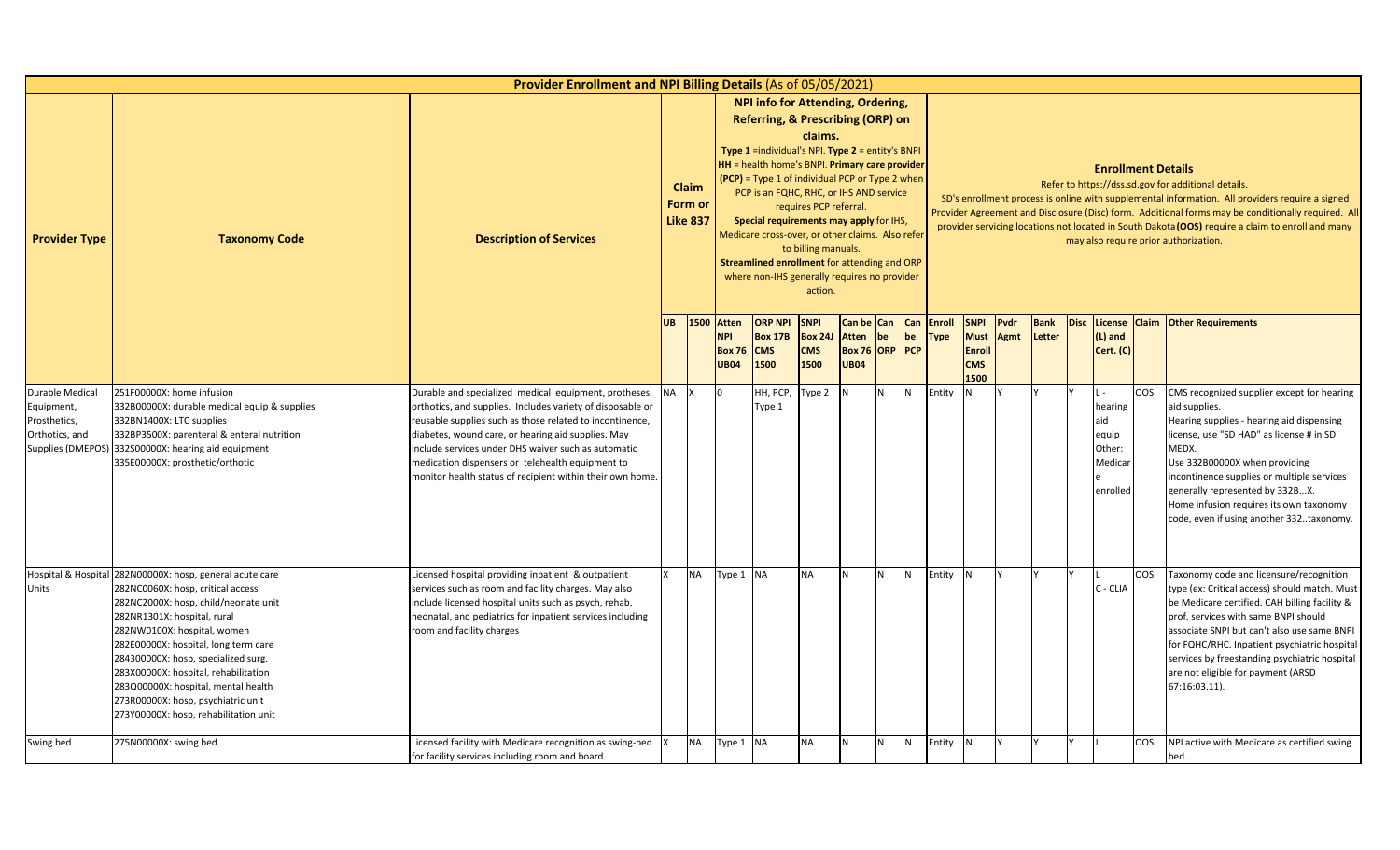|                                                                 |                                                                                                                                                                                                                                                                                                                                                                                                                                                  | <b>Provider Enrollment and NPI Billing Details (As of 05/05/2021)</b>                                                                                                                                                                                                                                                                                                                                         |           |                                            |                                                             |                                                                                                                                                                                                                                                                                                                                                                                                                                                                           |                                                                     |                                                         |    |                         |                              |                                                                   |              |                |                                                          |            |                                                                                                                                                                                                                                                                                                                                                                                                            |
|-----------------------------------------------------------------|--------------------------------------------------------------------------------------------------------------------------------------------------------------------------------------------------------------------------------------------------------------------------------------------------------------------------------------------------------------------------------------------------------------------------------------------------|---------------------------------------------------------------------------------------------------------------------------------------------------------------------------------------------------------------------------------------------------------------------------------------------------------------------------------------------------------------------------------------------------------------|-----------|--------------------------------------------|-------------------------------------------------------------|---------------------------------------------------------------------------------------------------------------------------------------------------------------------------------------------------------------------------------------------------------------------------------------------------------------------------------------------------------------------------------------------------------------------------------------------------------------------------|---------------------------------------------------------------------|---------------------------------------------------------|----|-------------------------|------------------------------|-------------------------------------------------------------------|--------------|----------------|----------------------------------------------------------|------------|------------------------------------------------------------------------------------------------------------------------------------------------------------------------------------------------------------------------------------------------------------------------------------------------------------------------------------------------------------------------------------------------------------|
| <b>Provider Type</b>                                            | <b>Taxonomy Code</b>                                                                                                                                                                                                                                                                                                                                                                                                                             | <b>Description of Services</b>                                                                                                                                                                                                                                                                                                                                                                                |           | <b>Claim</b><br>Form or<br><b>Like 837</b> |                                                             | NPI info for Attending, Ordering,<br>Referring, & Prescribing (ORP) on<br>Type 1 =individual's NPI. Type 2 = entity's BNPI<br>HH = health home's BNPI. Primary care provider<br>(PCP) = Type 1 of individual PCP or Type 2 when<br>PCP is an FQHC, RHC, or IHS AND service<br>Special requirements may apply for IHS,<br>Medicare cross-over, or other claims. Also refer<br>Streamlined enrollment for attending and ORP<br>where non-IHS generally requires no provider | claims.<br>requires PCP referral.<br>to billing manuals.<br>action. |                                                         |    |                         |                              |                                                                   |              |                | <b>Enrollment Details</b>                                |            | Refer to https://dss.sd.gov for additional details.<br>SD's enrollment process is online with supplemental information. All providers require a signed<br>Provider Agreement and Disclosure (Disc) form. Additional forms may be conditionally required. All<br>provider servicing locations not located in South Dakota (OOS) require a claim to enroll and many<br>may also require prior authorization. |
|                                                                 |                                                                                                                                                                                                                                                                                                                                                                                                                                                  |                                                                                                                                                                                                                                                                                                                                                                                                               |           |                                            | UB 1500 Atten<br><b>NPI</b><br><b>Box 76</b><br><b>UB04</b> | <b>ORP NPI</b><br><b>Box 17B</b><br><b>CMS</b><br>1500                                                                                                                                                                                                                                                                                                                                                                                                                    | <b>SNPI</b><br><b>Box 24J</b><br><b>CMS</b><br>1500                 | Can be Can<br><b>Atten</b><br>Box 76 ORP<br><b>UB04</b> | be | <b>Can</b><br>be<br>PCP | <b>Enroll</b><br><b>Type</b> | <b>SNPI</b><br><b>Must</b><br><b>Enroll</b><br><b>CMS</b><br>1500 | Pvdr<br>Agmt | Bank<br>Letter | (L) and<br>Cert. (C)                                     |            | Disc License Claim Other Requirements                                                                                                                                                                                                                                                                                                                                                                      |
| Durable Medical<br>Equipment,<br>Prosthetics,<br>Orthotics, and | 251F00000X: home infusion<br>332B00000X: durable medical equip & supplies<br>332BN1400X: LTC supplies<br>332BP3500X: parenteral & enteral nutrition<br>Supplies (DMEPOS) 332S00000X: hearing aid equipment<br>335E00000X: prosthetic/orthotic                                                                                                                                                                                                    | Durable and specialized medical equipment, protheses,<br>orthotics, and supplies. Includes variety of disposable or<br>reusable supplies such as those related to incontinence,<br>diabetes, wound care, or hearing aid supplies. May<br>include services under DHS waiver such as automatic<br>medication dispensers or telehealth equipment to<br>monitor health status of recipient within their own home. | <b>NA</b> |                                            | l0.                                                         | HH, PCP,<br>Type 1                                                                                                                                                                                                                                                                                                                                                                                                                                                        | ype 2                                                               |                                                         | N  | IN.                     | Entity                       |                                                                   |              |                | hearing<br>aid<br>equip<br>Other:<br>Medicar<br>enrolled | <b>OOS</b> | CMS recognized supplier except for hearing<br>aid supplies.<br>Hearing supplies - hearing aid dispensing<br>license, use "SD HAD" as license # in SD<br>MEDX.<br>Use 332B00000X when providing<br>incontinence supplies or multiple services<br>generally represented by 332BX.<br>Home infusion requires its own taxonomy<br>code, even if using another 332taxonomy.                                     |
| Units                                                           | Hospital & Hospital 282N00000X: hosp, general acute care<br>282NC0060X: hosp, critical access<br>282NC2000X: hosp, child/neonate unit<br>282NR1301X: hospital, rural<br>282NW0100X: hospital, women<br>282E00000X: hospital, long term care<br>284300000X: hosp, specialized surg.<br>283X00000X: hospital, rehabilitation<br>283Q00000X: hospital, mental health<br>273R00000X: hosp, psychiatric unit<br>273Y00000X: hosp, rehabilitation unit | Licensed hospital providing inpatient & outpatient<br>services such as room and facility charges. May also<br>include licensed hospital units such as psych, rehab,<br>neonatal, and pediatrics for inpatient services including<br>room and facility charges                                                                                                                                                 |           | <b>NA</b>                                  | Type 1 NA                                                   |                                                                                                                                                                                                                                                                                                                                                                                                                                                                           | <b>NA</b>                                                           | N                                                       | N  | N <sub>1</sub>          | Entity                       | <b>IN</b>                                                         |              |                | C - CLIA                                                 | <b>OOS</b> | Taxonomy code and licensure/recognition<br>type (ex: Critical access) should match. Must<br>be Medicare certified. CAH billing facility &<br>prof. services with same BNPI should<br>associate SNPI but can't also use same BNPI<br>for FQHC/RHC. Inpatient psychiatric hospital<br>services by freestanding psychiatric hospital<br>are not eligible for payment (ARSD<br>67:16:03.11).                   |
| Swing bed                                                       | 275N00000X: swing bed                                                                                                                                                                                                                                                                                                                                                                                                                            | Licensed facility with Medicare recognition as swing-bed<br>for facility services including room and board.                                                                                                                                                                                                                                                                                                   |           | <b>NA</b>                                  | Type 1 NA                                                   |                                                                                                                                                                                                                                                                                                                                                                                                                                                                           | <b>NA</b>                                                           | N                                                       | N  | N                       | Entity                       | <b>IN</b>                                                         |              |                |                                                          | <b>OOS</b> | NPI active with Medicare as certified swing<br>bed.                                                                                                                                                                                                                                                                                                                                                        |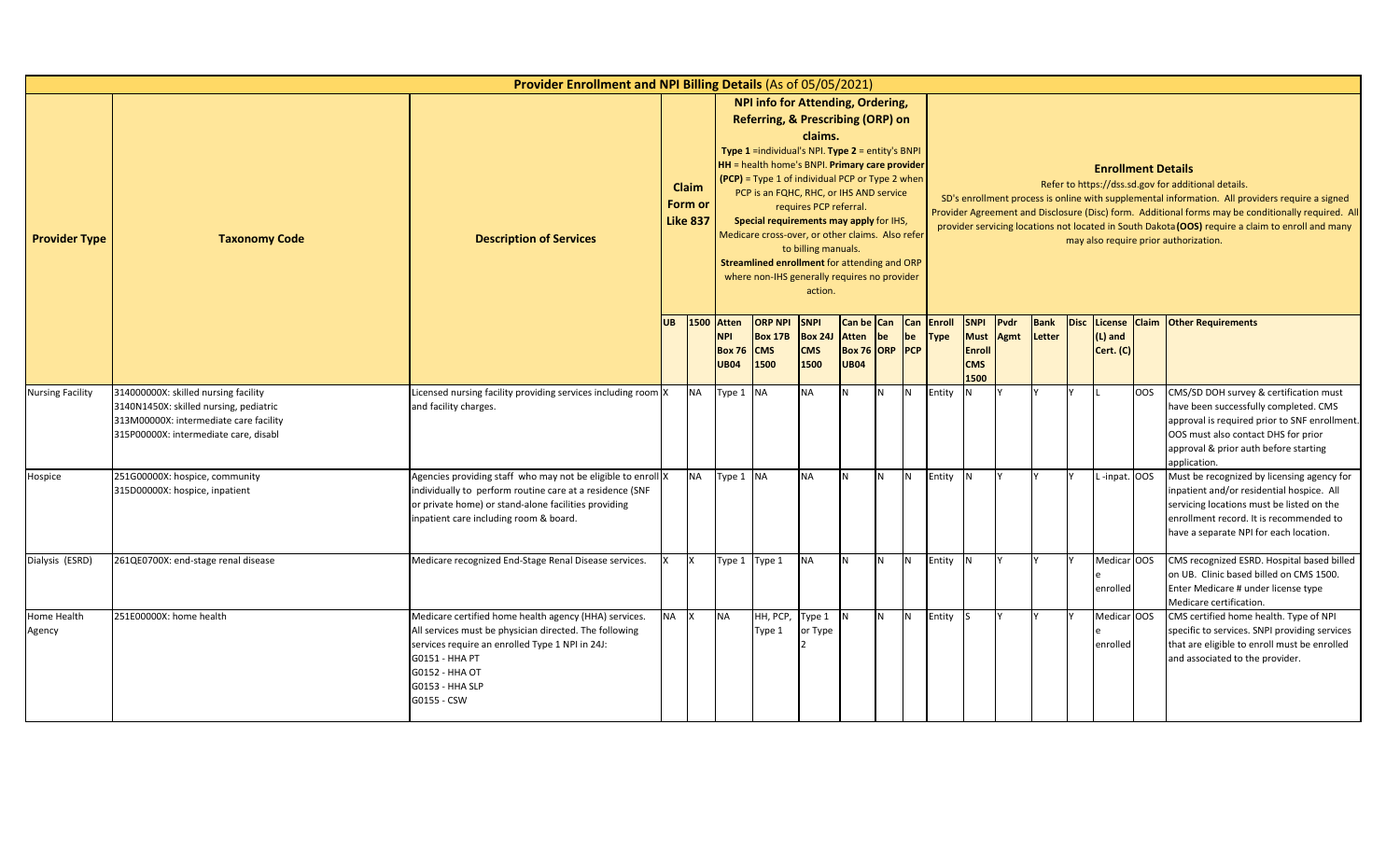|                         |                                                                                                                                                                   | Provider Enrollment and NPI Billing Details (As of 05/05/2021)                                                                                                                                                                           |           |                                     |                                                            |                                                                                                                                                                                                                                                                                                                                                                                                                                                                                            |                                                                     |                                                             |                |                  |                       |                                                            |              |                       |             |                           |     |                                                                                                                                                                                                                                                                                                                                                                                                            |
|-------------------------|-------------------------------------------------------------------------------------------------------------------------------------------------------------------|------------------------------------------------------------------------------------------------------------------------------------------------------------------------------------------------------------------------------------------|-----------|-------------------------------------|------------------------------------------------------------|--------------------------------------------------------------------------------------------------------------------------------------------------------------------------------------------------------------------------------------------------------------------------------------------------------------------------------------------------------------------------------------------------------------------------------------------------------------------------------------------|---------------------------------------------------------------------|-------------------------------------------------------------|----------------|------------------|-----------------------|------------------------------------------------------------|--------------|-----------------------|-------------|---------------------------|-----|------------------------------------------------------------------------------------------------------------------------------------------------------------------------------------------------------------------------------------------------------------------------------------------------------------------------------------------------------------------------------------------------------------|
| <b>Provider Type</b>    | <b>Taxonomy Code</b>                                                                                                                                              | <b>Description of Services</b>                                                                                                                                                                                                           |           | Claim<br>Form or<br><b>Like 837</b> |                                                            | NPI info for Attending, Ordering,<br>Referring, & Prescribing (ORP) on<br><b>Type 1</b> = individual's NPI. Type $2$ = entity's BNPI<br><b>HH</b> = health home's BNPI. Primary care provider<br>(PCP) = Type 1 of individual PCP or Type 2 when<br>PCP is an FQHC, RHC, or IHS AND service<br>Special requirements may apply for IHS,<br>Medicare cross-over, or other claims. Also refer<br>Streamlined enrollment for attending and ORP<br>where non-IHS generally requires no provider | claims.<br>requires PCP referral.<br>to billing manuals.<br>action. |                                                             |                |                  |                       |                                                            |              |                       |             | <b>Enrollment Details</b> |     | Refer to https://dss.sd.gov for additional details.<br>SD's enrollment process is online with supplemental information. All providers require a signed<br>Provider Agreement and Disclosure (Disc) form. Additional forms may be conditionally required. All<br>provider servicing locations not located in South Dakota (OOS) require a claim to enroll and many<br>may also require prior authorization. |
| <b>Nursing Facility</b> |                                                                                                                                                                   |                                                                                                                                                                                                                                          | <b>UB</b> | 1500                                | <b>Atten</b><br><b>NPI</b><br><b>Box 76</b><br><b>UB04</b> | <b>ORP NPI</b><br><b>Box 17B</b><br><b>CMS</b><br>1500                                                                                                                                                                                                                                                                                                                                                                                                                                     | <b>SNPI</b><br><b>Box 24J</b><br><b>CMS</b><br>1500                 | Can be Can<br><b>Atten</b><br>Box 76 ORP PCP<br><b>UB04</b> | be             | <b>Can</b><br>be | Enroll<br><b>Type</b> | <b>SNPI</b><br><b>Must</b><br>Enroll<br><b>CMS</b><br>1500 | Pvdr<br>Agmt | <b>Bank</b><br>Letter | <b>Disc</b> | (L) and<br>Cert. (C)      |     | License Claim Other Requirements                                                                                                                                                                                                                                                                                                                                                                           |
|                         | 314000000X: skilled nursing facility<br>3140N1450X: skilled nursing, pediatric<br>313M00000X: intermediate care facility<br>315P00000X: intermediate care, disabl | Licensed nursing facility providing services including room X<br>and facility charges.                                                                                                                                                   |           | <b>NA</b>                           | Type 1 NA                                                  |                                                                                                                                                                                                                                                                                                                                                                                                                                                                                            | <b>NA</b>                                                           | N                                                           | <b>N</b>       | IN.              | Entity                |                                                            |              |                       |             |                           | OOS | CMS/SD DOH survey & certification must<br>have been successfully completed. CMS<br>approval is required prior to SNF enrollment.<br>OOS must also contact DHS for prior<br>approval & prior auth before starting<br>application.                                                                                                                                                                           |
| Hospice                 | 251G00000X: hospice, community<br>315D00000X: hospice, inpatient                                                                                                  | Agencies providing staff who may not be eligible to enroll X<br>individually to perform routine care at a residence (SNF<br>or private home) or stand-alone facilities providing<br>inpatient care including room & board.               |           | <b>NA</b>                           | Type 1 NA                                                  |                                                                                                                                                                                                                                                                                                                                                                                                                                                                                            | <b>NA</b>                                                           | N.                                                          | N <sub>1</sub> | IN.              | Entity                |                                                            |              |                       |             | L-inpat. OOS              |     | Must be recognized by licensing agency for<br>inpatient and/or residential hospice. All<br>servicing locations must be listed on the<br>enrollment record. It is recommended to<br>have a separate NPI for each location.                                                                                                                                                                                  |
| Dialysis (ESRD)         | 261QE0700X: end-stage renal disease                                                                                                                               | Medicare recognized End-Stage Renal Disease services.                                                                                                                                                                                    |           |                                     | Type 1 Type 1                                              |                                                                                                                                                                                                                                                                                                                                                                                                                                                                                            | <b>NA</b>                                                           | N                                                           | N              | IN.              | Entity                |                                                            |              |                       |             | Medicar OOS<br>enrolled   |     | CMS recognized ESRD. Hospital based billed<br>on UB. Clinic based billed on CMS 1500.<br>Enter Medicare # under license type<br>Medicare certification.                                                                                                                                                                                                                                                    |
| Home Health<br>Agency   | 251E00000X: home health                                                                                                                                           | Medicare certified home health agency (HHA) services.<br>All services must be physician directed. The following<br>services require an enrolled Type 1 NPI in 24J:<br>G0151 - HHA PT<br>G0152 - HHA OT<br>G0153 - HHA SLP<br>G0155 - CSW | <b>NA</b> |                                     | <b>NA</b>                                                  | HH, PCP,<br>Type 1                                                                                                                                                                                                                                                                                                                                                                                                                                                                         | Type 1<br>or Type                                                   | IN.                                                         | N <sub>1</sub> | <b>N</b>         | Entity                |                                                            |              |                       |             | Medicar OOS<br>enrolled   |     | CMS certified home health. Type of NPI<br>specific to services. SNPI providing services<br>that are eligible to enroll must be enrolled<br>and associated to the provider.                                                                                                                                                                                                                                 |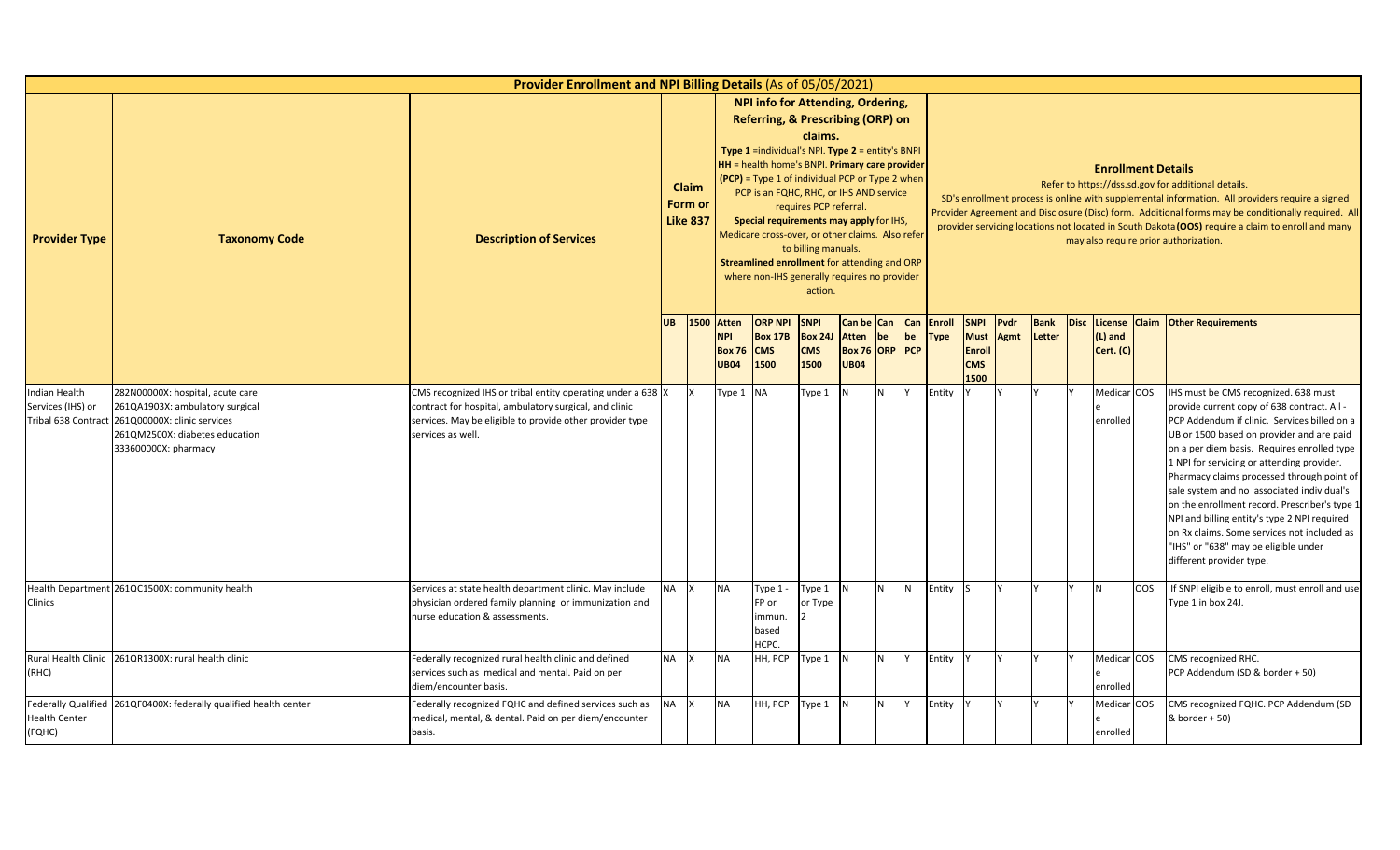|                                    |                                                                                                                                                                                  | <b>Provider Enrollment and NPI Billing Details (As of 05/05/2021)</b>                                                                                                                                  |           |                                     |                                                            |                                                                                                                                                                                                                                                                                                                                                                                                                                                                                     |                                                                     |                             |                                    |           |                              |                                                                   |                     |                |                                      |            |                                                                                                                                                                                                                                                                                                                                                                                                                                                                                                                                                                                               |
|------------------------------------|----------------------------------------------------------------------------------------------------------------------------------------------------------------------------------|--------------------------------------------------------------------------------------------------------------------------------------------------------------------------------------------------------|-----------|-------------------------------------|------------------------------------------------------------|-------------------------------------------------------------------------------------------------------------------------------------------------------------------------------------------------------------------------------------------------------------------------------------------------------------------------------------------------------------------------------------------------------------------------------------------------------------------------------------|---------------------------------------------------------------------|-----------------------------|------------------------------------|-----------|------------------------------|-------------------------------------------------------------------|---------------------|----------------|--------------------------------------|------------|-----------------------------------------------------------------------------------------------------------------------------------------------------------------------------------------------------------------------------------------------------------------------------------------------------------------------------------------------------------------------------------------------------------------------------------------------------------------------------------------------------------------------------------------------------------------------------------------------|
| <b>Provider Type</b>               | <b>Taxonomy Code</b>                                                                                                                                                             | <b>Description of Services</b>                                                                                                                                                                         |           | Claim<br>Form or<br><b>Like 837</b> |                                                            | NPI info for Attending, Ordering,<br>Referring, & Prescribing (ORP) on<br><b>Type 1</b> = individual's NPI. Type $2$ = entity's BNPI<br>HH = health home's BNPI. Primary care provider<br>(PCP) = Type 1 of individual PCP or Type 2 when<br>PCP is an FQHC, RHC, or IHS AND service<br>Special requirements may apply for IHS,<br>Medicare cross-over, or other claims. Also refer<br>Streamlined enrollment for attending and ORP<br>where non-IHS generally requires no provider | claims.<br>requires PCP referral.<br>to billing manuals.<br>action. |                             |                                    |           |                              |                                                                   |                     |                | <b>Enrollment Details</b>            |            | Refer to https://dss.sd.gov for additional details.<br>SD's enrollment process is online with supplemental information. All providers require a signed<br>Provider Agreement and Disclosure (Disc) form. Additional forms may be conditionally required. All<br>provider servicing locations not located in South Dakota (OOS) require a claim to enroll and many<br>may also require prior authorization.                                                                                                                                                                                    |
|                                    |                                                                                                                                                                                  |                                                                                                                                                                                                        | <b>UB</b> | 1500                                | <b>Atten</b><br><b>NPI</b><br><b>Box 76</b><br><b>UB04</b> | <b>ORP NPI</b><br><b>Box 17B</b><br><b>CMS</b><br>1500                                                                                                                                                                                                                                                                                                                                                                                                                              | <b>SNPI</b><br><b>Box 24J</b><br><b>CMS</b><br>1500                 | <b>Atten</b><br><b>UB04</b> | Can be Can<br>be<br>Box 76 ORP PCP | Can<br>be | <b>Enroll</b><br><b>Type</b> | <b>SNPI</b><br><b>Must</b><br><b>Enroll</b><br><b>CMS</b><br>1500 | Pvdr<br><b>Agmt</b> | Bank<br>Letter | Disc License<br>(L) and<br>Cert. (C) |            | <b>Claim Other Requirements</b>                                                                                                                                                                                                                                                                                                                                                                                                                                                                                                                                                               |
| Indian Health<br>Services (IHS) or | 282N00000X: hospital, acute care<br>261QA1903X: ambulatory surgical<br>Tribal 638 Contract 261Q00000X: clinic services<br>261QM2500X: diabetes education<br>333600000X: pharmacy | CMS recognized IHS or tribal entity operating under a 638 X<br>contract for hospital, ambulatory surgical, and clinic<br>services. May be eligible to provide other provider type<br>services as well. |           | Ιx                                  | Type 1 NA                                                  |                                                                                                                                                                                                                                                                                                                                                                                                                                                                                     | Type 1                                                              | N                           | N                                  |           | Entity                       |                                                                   |                     |                | Medicar OOS<br>enrolled              |            | IHS must be CMS recognized. 638 must<br>provide current copy of 638 contract. All -<br>PCP Addendum if clinic. Services billed on a<br>UB or 1500 based on provider and are paid<br>on a per diem basis. Requires enrolled type<br>1 NPI for servicing or attending provider.<br>Pharmacy claims processed through point of<br>sale system and no associated individual's<br>on the enrollment record. Prescriber's type 1<br>NPI and billing entity's type 2 NPI required<br>on Rx claims. Some services not included as<br>"IHS" or "638" may be eligible under<br>different provider type. |
| Clinics                            | Health Department 261QC1500X: community health                                                                                                                                   | Services at state health department clinic. May include<br>physician ordered family planning or immunization and<br>nurse education & assessments.                                                     | NA X      |                                     | <b>NA</b>                                                  | Type 1 -<br>FP or<br>immun.<br>based<br>HCPC.                                                                                                                                                                                                                                                                                                                                                                                                                                       | Type 1<br>or Type                                                   |                             | N <sub>1</sub>                     | N         | Entity                       | -IS                                                               |                     |                | N                                    | <b>OOS</b> | If SNPI eligible to enroll, must enroll and use<br>Type 1 in box 24J.                                                                                                                                                                                                                                                                                                                                                                                                                                                                                                                         |
| (RHC)                              | Rural Health Clinic 261QR1300X: rural health clinic                                                                                                                              | Federally recognized rural health clinic and defined<br>services such as medical and mental. Paid on per<br>diem/encounter basis.                                                                      | NA        | <b>Ix</b>                           | <b>NA</b>                                                  | HH, PCP                                                                                                                                                                                                                                                                                                                                                                                                                                                                             | Type 1 N                                                            |                             | N.                                 |           | Entity                       |                                                                   |                     |                | Medicar OOS<br>enrolled              |            | CMS recognized RHC.<br>PCP Addendum (SD & border + 50)                                                                                                                                                                                                                                                                                                                                                                                                                                                                                                                                        |
| <b>Health Center</b><br>(FQHC)     | Federally Qualified 261QF0400X: federally qualified health center                                                                                                                | Federally recognized FQHC and defined services such as<br>medical, mental, & dental. Paid on per diem/encounter<br>basis.                                                                              | <b>NA</b> | <b>Ix</b>                           | <b>NA</b>                                                  | HH, PCP                                                                                                                                                                                                                                                                                                                                                                                                                                                                             | Type 1 N                                                            |                             | N                                  |           | Entity                       |                                                                   |                     |                | Medicar OOS<br>enrolled              |            | CMS recognized FQHC. PCP Addendum (SD<br>& border + 50)                                                                                                                                                                                                                                                                                                                                                                                                                                                                                                                                       |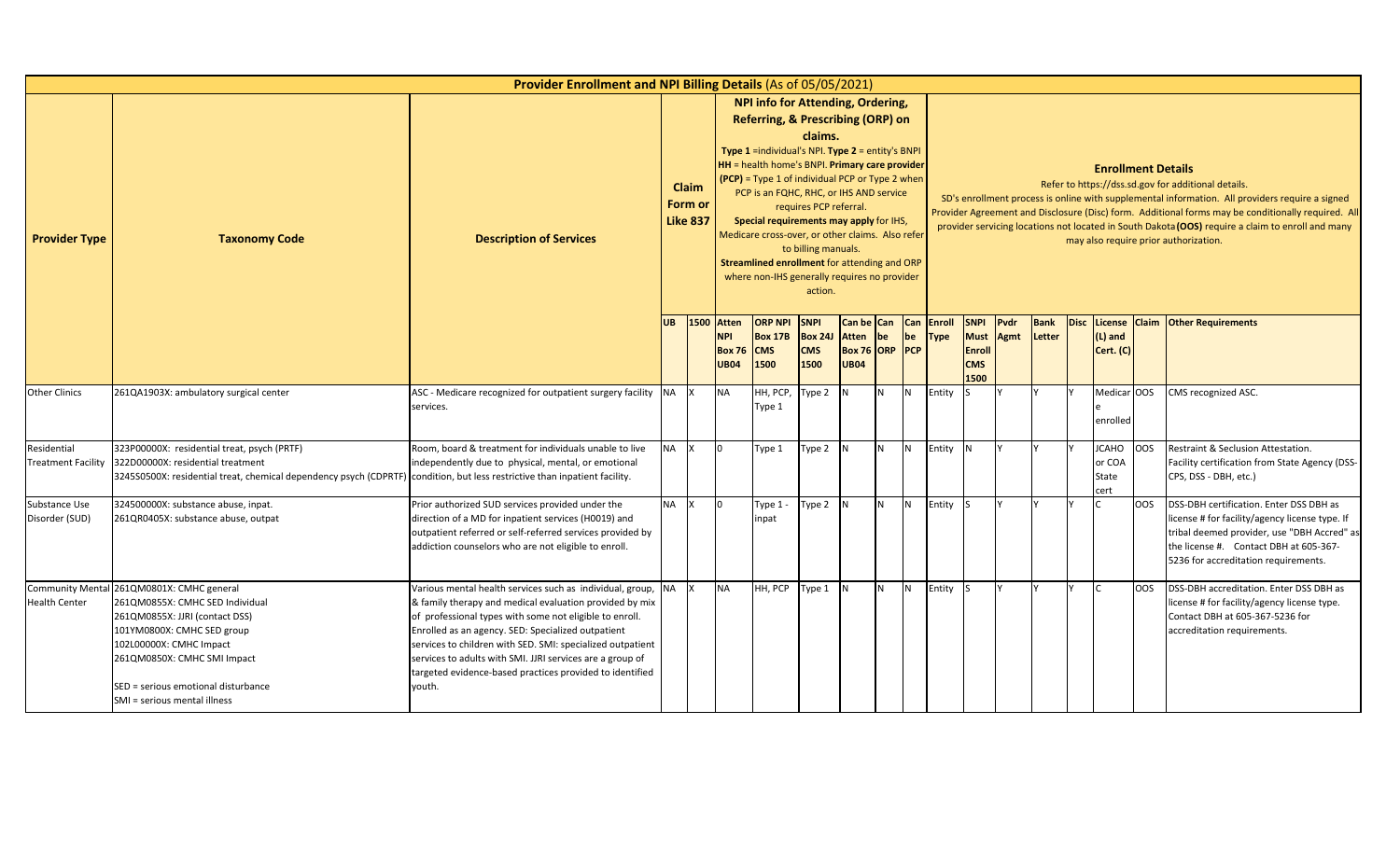|                                               |                                                                                                                                                                                                                                                                                                                                                                                                                                                                                                                                                                                                                                                                                         | Provider Enrollment and NPI Billing Details (As of 05/05/2021)                                                                                                                                                                                                                                                                                                                                                                            |           |  |                                            |                                                        |                                                     |                             |                                         |                |                              |                                                                   |              |                       |                                  |            |                                                                                                                                                                                                                                                                                                                                                                                                            |
|-----------------------------------------------|-----------------------------------------------------------------------------------------------------------------------------------------------------------------------------------------------------------------------------------------------------------------------------------------------------------------------------------------------------------------------------------------------------------------------------------------------------------------------------------------------------------------------------------------------------------------------------------------------------------------------------------------------------------------------------------------|-------------------------------------------------------------------------------------------------------------------------------------------------------------------------------------------------------------------------------------------------------------------------------------------------------------------------------------------------------------------------------------------------------------------------------------------|-----------|--|--------------------------------------------|--------------------------------------------------------|-----------------------------------------------------|-----------------------------|-----------------------------------------|----------------|------------------------------|-------------------------------------------------------------------|--------------|-----------------------|----------------------------------|------------|------------------------------------------------------------------------------------------------------------------------------------------------------------------------------------------------------------------------------------------------------------------------------------------------------------------------------------------------------------------------------------------------------------|
| <b>Provider Type</b>                          | NPI info for Attending, Ordering,<br>Referring, & Prescribing (ORP) on<br>claims.<br><b>Type 1</b> = individual's NPI. Type $2$ = entity's BNPI<br><b>HH</b> = health home's BNPI. Primary care provider<br>(PCP) = Type 1 of individual PCP or Type 2 when<br>Claim<br>PCP is an FQHC, RHC, or IHS AND service<br>Form or<br>requires PCP referral.<br><b>Like 837</b><br>Special requirements may apply for IHS,<br>Medicare cross-over, or other claims. Also refer<br><b>Taxonomy Code</b><br><b>Description of Services</b><br>to billing manuals.<br>Streamlined enrollment for attending and ORP<br>where non-IHS generally requires no provider<br>action.<br><b>1500 Atten</b> |                                                                                                                                                                                                                                                                                                                                                                                                                                           |           |  |                                            |                                                        |                                                     |                             |                                         |                |                              |                                                                   |              |                       | <b>Enrollment Details</b>        |            | Refer to https://dss.sd.gov for additional details.<br>SD's enrollment process is online with supplemental information. All providers require a signed<br>Provider Agreement and Disclosure (Disc) form. Additional forms may be conditionally required. All<br>provider servicing locations not located in South Dakota (OOS) require a claim to enroll and many<br>may also require prior authorization. |
| <b>Other Clinics</b>                          |                                                                                                                                                                                                                                                                                                                                                                                                                                                                                                                                                                                                                                                                                         |                                                                                                                                                                                                                                                                                                                                                                                                                                           | <b>UB</b> |  | <b>NPI</b><br><b>Box 76</b><br><b>UB04</b> | <b>ORP NPI</b><br><b>Box 17B</b><br><b>CMS</b><br>1500 | <b>SNPI</b><br><b>Box 24J</b><br><b>CMS</b><br>1500 | <b>Atten</b><br><b>UB04</b> | Can be Can Can<br> be<br>Box 76 ORP PCP | be             | <b>Enroll</b><br><b>Type</b> | <b>SNPI</b><br><b>Must</b><br><b>Enroll</b><br><b>CMS</b><br>1500 | Pvdr<br>Agmt | <b>Bank</b><br>Letter | $(L)$ and<br>Cert. (C)           |            | Disc License Claim Other Requirements                                                                                                                                                                                                                                                                                                                                                                      |
|                                               | 261QA1903X: ambulatory surgical center                                                                                                                                                                                                                                                                                                                                                                                                                                                                                                                                                                                                                                                  | ASC - Medicare recognized for outpatient surgery facility NA<br>services.                                                                                                                                                                                                                                                                                                                                                                 |           |  | <b>NA</b>                                  | HH, PCP,<br>Type 1                                     | ype 2                                               | N                           | N <sub>1</sub>                          | IN.            | Entity                       |                                                                   |              |                       | Medicar OOS<br>enrolled          |            | CMS recognized ASC.                                                                                                                                                                                                                                                                                                                                                                                        |
| Residential<br><b>Treatment Facility</b>      | 323P00000X: residential treat, psych (PRTF)<br>322D00000X: residential treatment<br>3245S0500X: residential treat, chemical dependency psych (CDPRTF) condition, but less restrictive than inpatient facility.                                                                                                                                                                                                                                                                                                                                                                                                                                                                          | Room, board & treatment for individuals unable to live<br>independently due to physical, mental, or emotional                                                                                                                                                                                                                                                                                                                             | <b>NA</b> |  | I0                                         | Type 1                                                 | Type 2                                              | IN.                         | <b>N</b>                                | N              | Entity                       |                                                                   |              |                       | ICAHO<br>or COA<br>State<br>cert | <b>OOS</b> | Restraint & Seclusion Attestation.<br>Facility certification from State Agency (DSS-<br>CPS, DSS - DBH, etc.)                                                                                                                                                                                                                                                                                              |
| Substance Use<br>Disorder (SUD)               | 324500000X: substance abuse, inpat.<br>261QR0405X: substance abuse, outpat                                                                                                                                                                                                                                                                                                                                                                                                                                                                                                                                                                                                              | Prior authorized SUD services provided under the<br>direction of a MD for inpatient services (H0019) and<br>outpatient referred or self-referred services provided by<br>addiction counselors who are not eligible to enroll.                                                                                                                                                                                                             | <b>NA</b> |  | I0                                         | Type 1 -<br>inpat                                      | Type 2                                              | N                           | N                                       | I <sub>N</sub> | Entity                       |                                                                   |              |                       |                                  | <b>OOS</b> | DSS-DBH certification. Enter DSS DBH as<br>license # for facility/agency license type. If<br>tribal deemed provider, use "DBH Accred" as<br>the license #. Contact DBH at 605-367-<br>5236 for accreditation requirements.                                                                                                                                                                                 |
| <b>Community Ment</b><br><b>Health Center</b> | 261QM0801X: CMHC general<br>261QM0855X: CMHC SED Individual<br>261QM0855X: JJRI (contact DSS)<br>101YM0800X: CMHC SED group<br>102L00000X: CMHC Impact<br>261QM0850X: CMHC SMI Impact<br>SED = serious emotional disturbance<br>SMI = serious mental illness                                                                                                                                                                                                                                                                                                                                                                                                                            | Various mental health services such as individual, group, NA<br>& family therapy and medical evaluation provided by mix<br>of professional types with some not eligible to enroll.<br>Enrolled as an agency. SED: Specialized outpatient<br>services to children with SED. SMI: specialized outpatient<br>services to adults with SMI. JJRI services are a group of<br>targeted evidence-based practices provided to identified<br>youth. |           |  | <b>NA</b>                                  | HH, PCP                                                | ype 1                                               | N                           | N <sub>1</sub>                          | <b>IN</b>      | Entity                       |                                                                   |              |                       |                                  | OOS        | DSS-DBH accreditation. Enter DSS DBH as<br>license # for facility/agency license type.<br>Contact DBH at 605-367-5236 for<br>accreditation requirements.                                                                                                                                                                                                                                                   |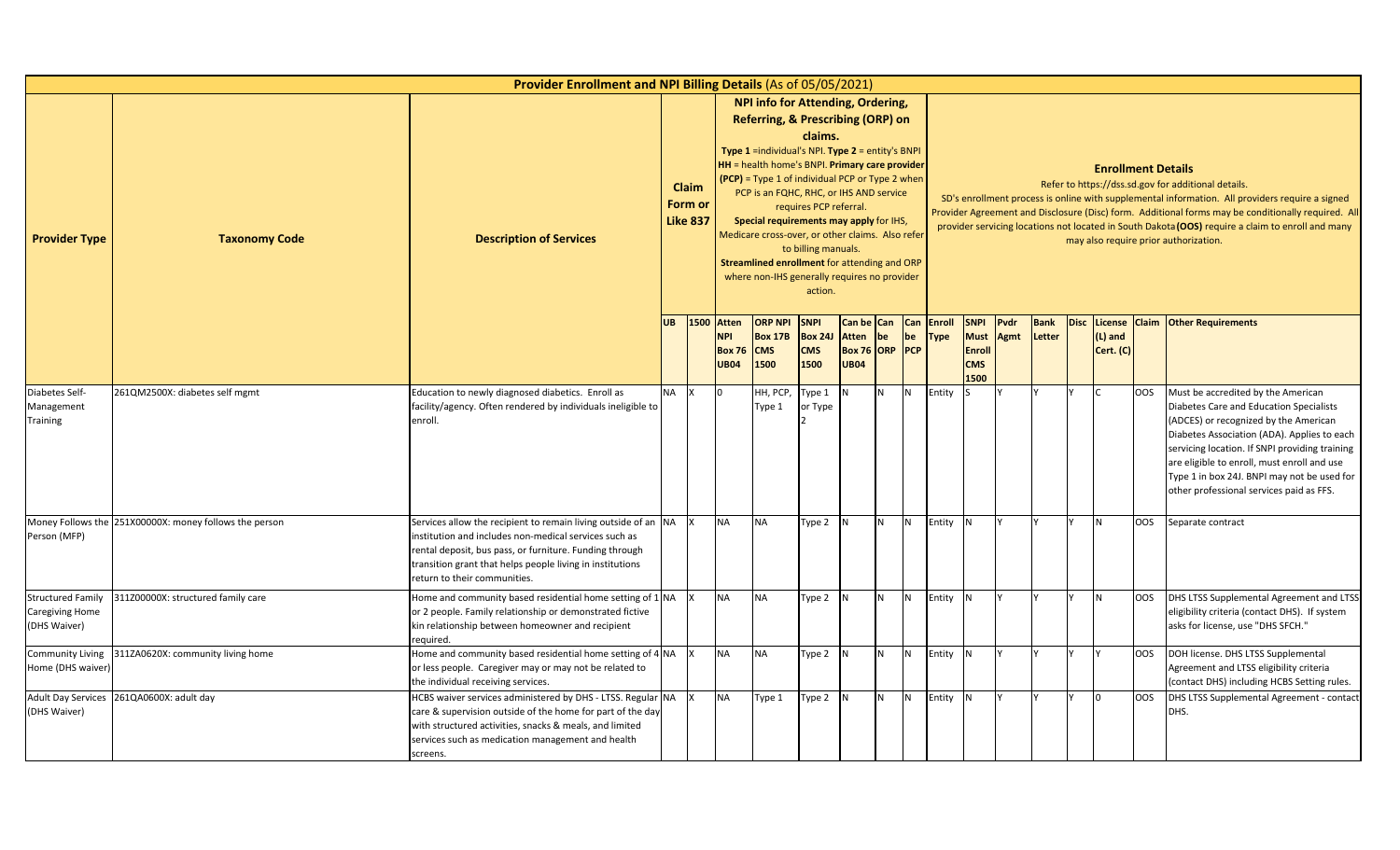|                                                                    |                                                        | <b>Provider Enrollment and NPI Billing Details (As of 05/05/2021)</b>                                                                                                                                                                                                           |           |                                     |                                                            |                                                                                                                                                                                                                                                                                                                                                                                                                                                                             |                                                                     |                             |                                    |           |                              |                                                                   |              |                |                           |            |                                                                                                                                                                                                                                                                                                                                                                                                            |
|--------------------------------------------------------------------|--------------------------------------------------------|---------------------------------------------------------------------------------------------------------------------------------------------------------------------------------------------------------------------------------------------------------------------------------|-----------|-------------------------------------|------------------------------------------------------------|-----------------------------------------------------------------------------------------------------------------------------------------------------------------------------------------------------------------------------------------------------------------------------------------------------------------------------------------------------------------------------------------------------------------------------------------------------------------------------|---------------------------------------------------------------------|-----------------------------|------------------------------------|-----------|------------------------------|-------------------------------------------------------------------|--------------|----------------|---------------------------|------------|------------------------------------------------------------------------------------------------------------------------------------------------------------------------------------------------------------------------------------------------------------------------------------------------------------------------------------------------------------------------------------------------------------|
| <b>Provider Type</b>                                               | <b>Taxonomy Code</b>                                   | <b>Description of Services</b>                                                                                                                                                                                                                                                  |           | Claim<br>Form or<br><b>Like 837</b> |                                                            | NPI info for Attending, Ordering,<br>Referring, & Prescribing (ORP) on<br>Type 1 =individual's NPI. Type 2 = entity's BNPI<br>HH = health home's BNPI. Primary care provider<br>$(PCP)$ = Type 1 of individual PCP or Type 2 when<br>PCP is an FQHC, RHC, or IHS AND service<br>Special requirements may apply for IHS,<br>Medicare cross-over, or other claims. Also refer<br>Streamlined enrollment for attending and ORP<br>where non-IHS generally requires no provider | claims.<br>requires PCP referral.<br>to billing manuals.<br>action. |                             |                                    |           |                              |                                                                   |              |                | <b>Enrollment Details</b> |            | Refer to https://dss.sd.gov for additional details.<br>SD's enrollment process is online with supplemental information. All providers require a signed<br>Provider Agreement and Disclosure (Disc) form. Additional forms may be conditionally required. All<br>provider servicing locations not located in South Dakota (OOS) require a claim to enroll and many<br>may also require prior authorization. |
| Diabetes Self-                                                     |                                                        |                                                                                                                                                                                                                                                                                 | <b>UB</b> | 1500                                | <b>Atten</b><br><b>NPI</b><br><b>Box 76</b><br><b>UB04</b> | <b>ORP NPI</b><br><b>Box 17B</b><br><b>CMS</b><br>1500                                                                                                                                                                                                                                                                                                                                                                                                                      | <b>SNPI</b><br><b>Box 24J</b><br><b>CMS</b><br>1500                 | <b>Atten</b><br><b>UB04</b> | Can be Can<br>be<br>Box 76 ORP PCP | Can<br>be | <b>Enroll</b><br><b>Type</b> | <b>SNPI</b><br><b>Must</b><br><b>Enroll</b><br><b>CMS</b><br>1500 | Pvdr<br>Agmt | Bank<br>Letter | $(L)$ and<br>Cert. (C)    |            | Disc License Claim Other Requirements                                                                                                                                                                                                                                                                                                                                                                      |
| Management<br><b>Training</b>                                      | 261QM2500X: diabetes self mgmt                         | Education to newly diagnosed diabetics. Enroll as<br>facility/agency. Often rendered by individuals ineligible to<br>enroll.                                                                                                                                                    | <b>NA</b> | IX.                                 |                                                            | HH, PCP,<br>Type 1                                                                                                                                                                                                                                                                                                                                                                                                                                                          | Type 1<br>or Type                                                   |                             | N                                  | IN.       | Entity                       |                                                                   |              |                |                           | <b>OOS</b> | Must be accredited by the American<br>Diabetes Care and Education Specialists<br>(ADCES) or recognized by the American<br>Diabetes Association (ADA). Applies to each<br>servicing location. If SNPI providing training<br>are eligible to enroll, must enroll and use<br>Type 1 in box 24J. BNPI may not be used for<br>other professional services paid as FFS.                                          |
| Person (MFP)                                                       | Money Follows the 251X00000X: money follows the person | Services allow the recipient to remain living outside of an NA<br>institution and includes non-medical services such as<br>rental deposit, bus pass, or furniture. Funding through<br>transition grant that helps people living in institutions<br>return to their communities. |           | $\mathsf{I}$ $\times$               | <b>NA</b>                                                  | <b>NA</b>                                                                                                                                                                                                                                                                                                                                                                                                                                                                   | Type 2 N                                                            |                             | N <sub>1</sub>                     | IN.       | Entity N                     |                                                                   |              |                | N                         | <b>OOS</b> | Separate contract                                                                                                                                                                                                                                                                                                                                                                                          |
| <b>Structured Family</b><br><b>Caregiving Home</b><br>(DHS Waiver) | 311Z00000X: structured family care                     | Home and community based residential home setting of 1 NA<br>or 2 people. Family relationship or demonstrated fictive<br>kin relationship between homeowner and recipient<br>required.                                                                                          |           |                                     | <b>NA</b>                                                  | <b>NA</b>                                                                                                                                                                                                                                                                                                                                                                                                                                                                   | Type 2 N                                                            |                             | N.                                 | <b>N</b>  | Entity N                     |                                                                   |              |                | N                         | <b>OOS</b> | DHS LTSS Supplemental Agreement and LTSS<br>eligibility criteria (contact DHS). If system<br>asks for license, use "DHS SFCH."                                                                                                                                                                                                                                                                             |
| <b>Community Living</b><br>Home (DHS waiver)                       | 311ZA0620X: community living home                      | Home and community based residential home setting of 4 NA<br>or less people. Caregiver may or may not be related to<br>the individual receiving services.                                                                                                                       |           |                                     | <b>NA</b>                                                  | <b>NA</b>                                                                                                                                                                                                                                                                                                                                                                                                                                                                   | Type 2 N                                                            |                             | N.                                 | <b>N</b>  | Entity N                     |                                                                   |              |                |                           | <b>OOS</b> | DOH license. DHS LTSS Supplemental<br>Agreement and LTSS eligibility criteria<br>(contact DHS) including HCBS Setting rules.                                                                                                                                                                                                                                                                               |
| <b>Adult Day Services</b><br>(DHS Waiver)                          | 261QA0600X: adult day                                  | HCBS waiver services administered by DHS - LTSS. Regular NA X<br>care & supervision outside of the home for part of the day<br>with structured activities, snacks & meals, and limited<br>services such as medication management and health<br>screens.                         |           |                                     | <b>NA</b>                                                  | Type 1                                                                                                                                                                                                                                                                                                                                                                                                                                                                      | Type 2                                                              |                             | N                                  | <b>N</b>  | Entity N                     |                                                                   |              |                |                           | <b>OOS</b> | DHS LTSS Supplemental Agreement - contact<br>DHS.                                                                                                                                                                                                                                                                                                                                                          |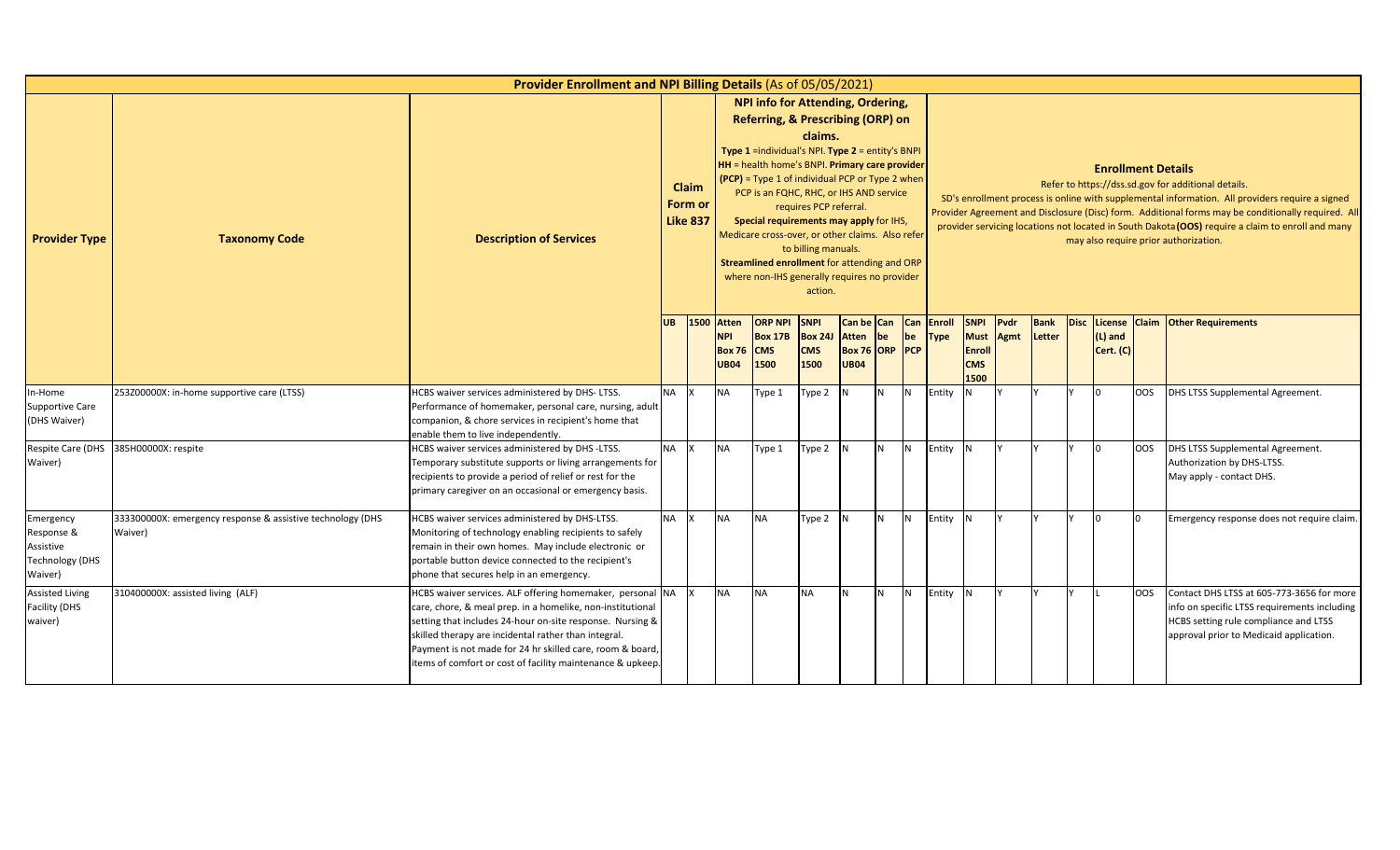|                                                                           |                                                                                                                                                                                                                                                                                                                                                                                                                                                                                                                                                                                                                                                                        | Provider Enrollment and NPI Billing Details (As of 05/05/2021)                                                                                                                                                                                                                                                                                                          |           |      |                                                            |                                                        |                                                     |                                        |     |                  |                       |                                                                   |              |                           |                        |                                                                                                                                                                                                                                                                                                                                                                                                            |                                                                                                                                                                               |
|---------------------------------------------------------------------------|------------------------------------------------------------------------------------------------------------------------------------------------------------------------------------------------------------------------------------------------------------------------------------------------------------------------------------------------------------------------------------------------------------------------------------------------------------------------------------------------------------------------------------------------------------------------------------------------------------------------------------------------------------------------|-------------------------------------------------------------------------------------------------------------------------------------------------------------------------------------------------------------------------------------------------------------------------------------------------------------------------------------------------------------------------|-----------|------|------------------------------------------------------------|--------------------------------------------------------|-----------------------------------------------------|----------------------------------------|-----|------------------|-----------------------|-------------------------------------------------------------------|--------------|---------------------------|------------------------|------------------------------------------------------------------------------------------------------------------------------------------------------------------------------------------------------------------------------------------------------------------------------------------------------------------------------------------------------------------------------------------------------------|-------------------------------------------------------------------------------------------------------------------------------------------------------------------------------|
| <b>Provider Type</b>                                                      | <b>NPI info for Attending, Ordering,</b><br>Referring, & Prescribing (ORP) on<br>claims.<br>Type 1 =individual's NPI. Type 2 = entity's BNPI<br>HH = health home's BNPI. Primary care provider<br>(PCP) = Type 1 of individual PCP or Type 2 when<br>Claim<br>PCP is an FQHC, RHC, or IHS AND service<br>Form or<br>requires PCP referral.<br><b>Like 837</b><br>Special requirements may apply for IHS,<br>Medicare cross-over, or other claims. Also refer<br><b>Taxonomy Code</b><br><b>Description of Services</b><br>to billing manuals.<br>Streamlined enrollment for attending and ORP<br>where non-IHS generally requires no provider<br>action.<br>Can be Can |                                                                                                                                                                                                                                                                                                                                                                         |           |      |                                                            |                                                        |                                                     |                                        |     |                  |                       |                                                                   |              | <b>Enrollment Details</b> |                        | Refer to https://dss.sd.gov for additional details.<br>SD's enrollment process is online with supplemental information. All providers require a signed<br>Provider Agreement and Disclosure (Disc) form. Additional forms may be conditionally required. All<br>provider servicing locations not located in South Dakota (OOS) require a claim to enroll and many<br>may also require prior authorization. |                                                                                                                                                                               |
|                                                                           |                                                                                                                                                                                                                                                                                                                                                                                                                                                                                                                                                                                                                                                                        |                                                                                                                                                                                                                                                                                                                                                                         | <b>UB</b> | 1500 | <b>Atten</b><br><b>NPI</b><br><b>Box 76</b><br><b>UB04</b> | <b>ORP NPI</b><br><b>Box 17B</b><br><b>CMS</b><br>1500 | <b>SNPI</b><br><b>Box 24J</b><br><b>CMS</b><br>1500 | Atten<br>Box 76 ORP PCP<br><b>UB04</b> | be  | <b>Can</b><br>be | Enroll<br><b>Type</b> | <b>SNPI</b><br><b>Must</b><br><b>Enroll</b><br><b>CMS</b><br>1500 | Pvdr<br>Agmt | <b>Bank</b><br>Letter     | $(L)$ and<br>Cert. (C) |                                                                                                                                                                                                                                                                                                                                                                                                            | Disc License Claim Other Requirements                                                                                                                                         |
| In-Home<br>Supportive Care<br>(DHS Waiver)                                | 253Z00000X: in-home supportive care (LTSS)                                                                                                                                                                                                                                                                                                                                                                                                                                                                                                                                                                                                                             | HCBS waiver services administered by DHS-LTSS.<br>Performance of homemaker, personal care, nursing, adult<br>companion, & chore services in recipient's home that<br>enable them to live independently.                                                                                                                                                                 | <b>NA</b> |      | <b>NA</b>                                                  | Type 1                                                 | Type 2                                              | N                                      | IN. | N                | Entity                |                                                                   |              |                           | $\Omega$               | <b>OOS</b>                                                                                                                                                                                                                                                                                                                                                                                                 | DHS LTSS Supplemental Agreement.                                                                                                                                              |
| Respite Care (DHS<br>Waiver)                                              | 385H00000X: respite                                                                                                                                                                                                                                                                                                                                                                                                                                                                                                                                                                                                                                                    | HCBS waiver services administered by DHS-LTSS.<br>Temporary substitute supports or living arrangements for<br>recipients to provide a period of relief or rest for the<br>primary caregiver on an occasional or emergency basis.                                                                                                                                        | <b>NA</b> |      | <b>NA</b>                                                  | Type 1                                                 | Type 2                                              |                                        |     | IN.              | Entity                |                                                                   |              |                           | <sup>n</sup>           | OOS                                                                                                                                                                                                                                                                                                                                                                                                        | DHS LTSS Supplemental Agreement.<br>Authorization by DHS-LTSS.<br>May apply - contact DHS.                                                                                    |
| Emergency<br>Response &<br>Assistive<br><b>Technology (DHS</b><br>Waiver) | 333300000X: emergency response & assistive technology (DHS<br>Waiver)                                                                                                                                                                                                                                                                                                                                                                                                                                                                                                                                                                                                  | HCBS waiver services administered by DHS-LTSS.<br>Monitoring of technology enabling recipients to safely<br>remain in their own homes. May include electronic or<br>portable button device connected to the recipient's<br>phone that secures help in an emergency.                                                                                                     | NA X      |      | <b>NA</b>                                                  | <b>NA</b>                                              | Type 2                                              | IN.                                    | N   | <b>IN</b>        | Entity                |                                                                   |              |                           | <sup>n</sup>           |                                                                                                                                                                                                                                                                                                                                                                                                            | Emergency response does not require claim.                                                                                                                                    |
| Assisted Living<br>Facility (DHS<br>waiver)                               | 310400000X: assisted living (ALF)                                                                                                                                                                                                                                                                                                                                                                                                                                                                                                                                                                                                                                      | HCBS waiver services. ALF offering homemaker, personal NA<br>care, chore, & meal prep. in a homelike, non-institutional<br>setting that includes 24-hour on-site response. Nursing &<br>skilled therapy are incidental rather than integral.<br>Payment is not made for 24 hr skilled care, room & board,<br>items of comfort or cost of facility maintenance & upkeep. |           |      | <b>NA</b>                                                  | <b>NA</b>                                              | <b>NA</b>                                           | <b>N</b>                               | IN. | IN.              | Entity                |                                                                   |              |                           |                        | OOS                                                                                                                                                                                                                                                                                                                                                                                                        | Contact DHS LTSS at 605-773-3656 for more<br>info on specific LTSS requirements including<br>HCBS setting rule compliance and LTSS<br>approval prior to Medicaid application. |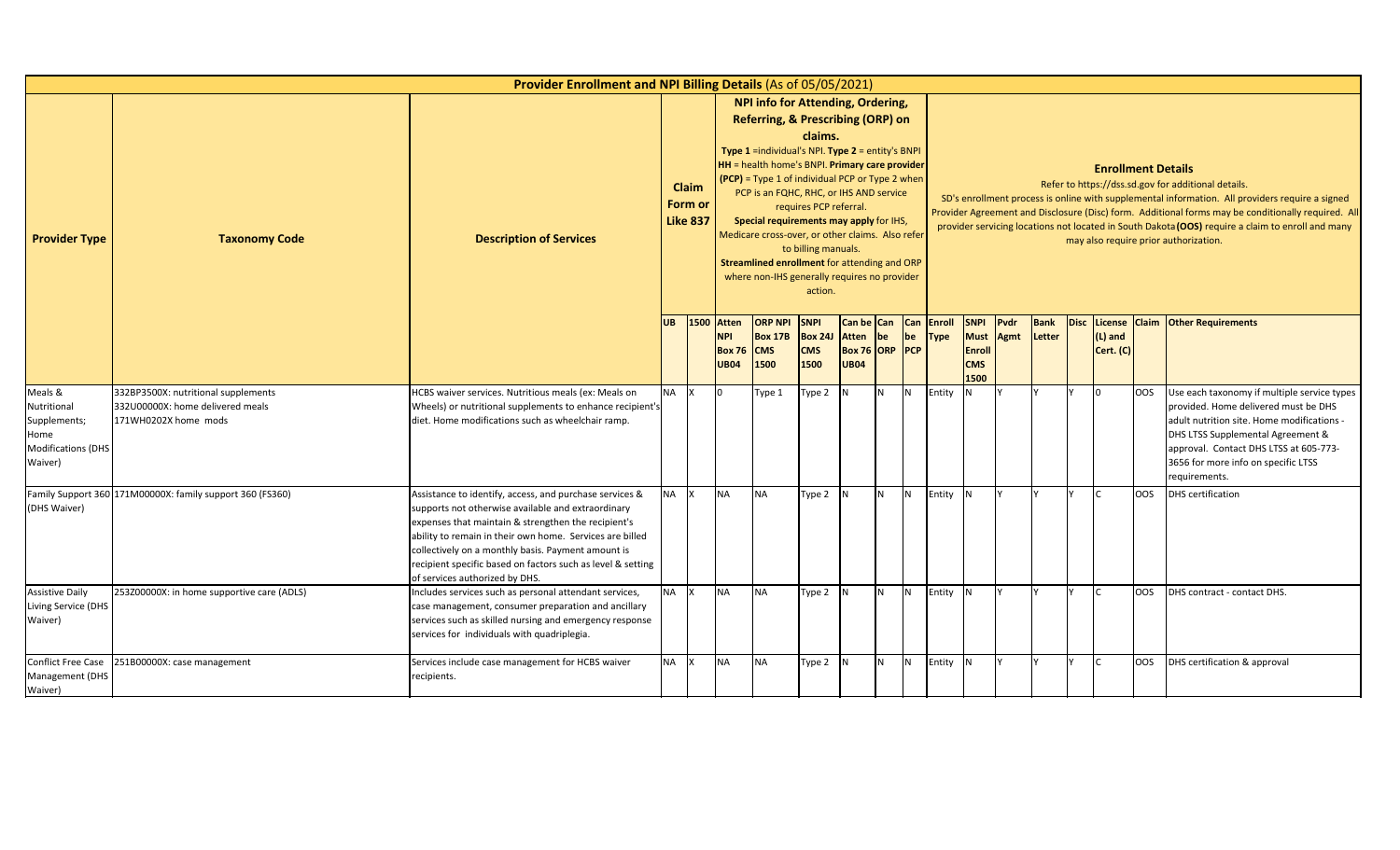|                                                                                        |                                                                                                 | Provider Enrollment and NPI Billing Details (As of 05/05/2021)                                                                                                                                                                                                                                                                                                                          |           |                                     |                                                          |                                                                                                                                                                                                                                                                                                                                                                                                                                                                           |                                                                     |                                               |          |                |                                      |                                                            |                     |                       |                           |            |                                                                                                                                                                                                                                                                                                                                                                                                            |
|----------------------------------------------------------------------------------------|-------------------------------------------------------------------------------------------------|-----------------------------------------------------------------------------------------------------------------------------------------------------------------------------------------------------------------------------------------------------------------------------------------------------------------------------------------------------------------------------------------|-----------|-------------------------------------|----------------------------------------------------------|---------------------------------------------------------------------------------------------------------------------------------------------------------------------------------------------------------------------------------------------------------------------------------------------------------------------------------------------------------------------------------------------------------------------------------------------------------------------------|---------------------------------------------------------------------|-----------------------------------------------|----------|----------------|--------------------------------------|------------------------------------------------------------|---------------------|-----------------------|---------------------------|------------|------------------------------------------------------------------------------------------------------------------------------------------------------------------------------------------------------------------------------------------------------------------------------------------------------------------------------------------------------------------------------------------------------------|
| <b>Provider Type</b>                                                                   | <b>Taxonomy Code</b>                                                                            | <b>Description of Services</b>                                                                                                                                                                                                                                                                                                                                                          |           | Claim<br>Form or<br><b>Like 837</b> |                                                          | NPI info for Attending, Ordering,<br>Referring, & Prescribing (ORP) on<br>Type 1 =individual's NPI. Type 2 = entity's BNPI<br>HH = health home's BNPI. Primary care provider<br>(PCP) = Type 1 of individual PCP or Type 2 when<br>PCP is an FQHC, RHC, or IHS AND service<br>Special requirements may apply for IHS,<br>Medicare cross-over, or other claims. Also refer<br>Streamlined enrollment for attending and ORP<br>where non-IHS generally requires no provider | claims.<br>requires PCP referral.<br>to billing manuals.<br>action. |                                               |          |                |                                      |                                                            |                     |                       | <b>Enrollment Details</b> |            | Refer to https://dss.sd.gov for additional details.<br>SD's enrollment process is online with supplemental information. All providers require a signed<br>Provider Agreement and Disclosure (Disc) form. Additional forms may be conditionally required. All<br>provider servicing locations not located in South Dakota (OOS) require a claim to enroll and many<br>may also require prior authorization. |
|                                                                                        |                                                                                                 |                                                                                                                                                                                                                                                                                                                                                                                         | <b>UB</b> |                                     | 1500 Atten<br><b>NPI</b><br><b>Box 76</b><br><b>UB04</b> | <b>ORP NPI</b><br><b>Box 17B</b><br><b>CMS</b><br>1500                                                                                                                                                                                                                                                                                                                                                                                                                    | <b>SNPI</b><br><b>Box 241</b><br><b>CMS</b><br>1500                 | <b>Atten</b><br>Box 76 ORP PCP<br><b>UB04</b> | be       | be             | Can be Can Can Enroll<br><b>Type</b> | <b>SNPI</b><br><b>Must</b><br>Enroll<br><b>CMS</b><br>1500 | Pvdr<br><b>Agmt</b> | <b>Bank</b><br>Letter | (L) and<br>Cert. (C)      |            | Disc License Claim Other Requirements                                                                                                                                                                                                                                                                                                                                                                      |
| Meals &<br>Nutritional<br>Supplements;<br>Home<br><b>Modifications (DHS</b><br>Waiver) | 332BP3500X: nutritional supplements<br>332U00000X: home delivered meals<br>171WH0202X home mods | HCBS waiver services. Nutritious meals (ex: Meals on<br>Wheels) or nutritional supplements to enhance recipient's<br>diet. Home modifications such as wheelchair ramp.                                                                                                                                                                                                                  | NA X      |                                     | In.                                                      | Type 1                                                                                                                                                                                                                                                                                                                                                                                                                                                                    | Type 2                                                              | IN.                                           | <b>N</b> | N              | Entity                               |                                                            |                     |                       |                           | <b>OOS</b> | Use each taxonomy if multiple service types<br>provided. Home delivered must be DHS<br>adult nutrition site. Home modifications -<br>DHS LTSS Supplemental Agreement &<br>approval. Contact DHS LTSS at 605-773-<br>3656 for more info on specific LTSS<br>requirements.                                                                                                                                   |
| (DHS Waiver)                                                                           | Family Support 360 171M00000X: family support 360 (FS360)                                       | Assistance to identify, access, and purchase services &<br>supports not otherwise available and extraordinary<br>expenses that maintain & strengthen the recipient's<br>ability to remain in their own home. Services are billed<br>collectively on a monthly basis. Payment amount is<br>recipient specific based on factors such as level & setting<br>of services authorized by DHS. | <b>NA</b> | $\mathsf{I} \mathsf{X}$             | <b>NA</b>                                                | <b>NA</b>                                                                                                                                                                                                                                                                                                                                                                                                                                                                 | Type 2                                                              | IN.                                           | <b>N</b> | N <sub>1</sub> | Entity                               | IN.                                                        |                     |                       |                           | <b>OOS</b> | <b>DHS</b> certification                                                                                                                                                                                                                                                                                                                                                                                   |
| <b>Assistive Daily</b><br>Living Service (DHS<br>Waiver)                               | 253Z00000X: in home supportive care (ADLS)                                                      | Includes services such as personal attendant services,<br>case management, consumer preparation and ancillary<br>services such as skilled nursing and emergency response<br>services for individuals with quadriplegia.                                                                                                                                                                 | <b>NA</b> |                                     | <b>NA</b>                                                | <b>NA</b>                                                                                                                                                                                                                                                                                                                                                                                                                                                                 | Type 2                                                              | IN.                                           | <b>N</b> | N              | Entity                               | IN.                                                        |                     |                       |                           | <b>OOS</b> | DHS contract - contact DHS.                                                                                                                                                                                                                                                                                                                                                                                |
| <b>Conflict Free Case</b><br>Management (DHS<br>Waiver)                                | 251B00000X: case management                                                                     | Services include case management for HCBS waiver<br>recipients.                                                                                                                                                                                                                                                                                                                         | <b>NA</b> | $\mathsf{I} \mathsf{X}$             | <b>NA</b>                                                | <b>NA</b>                                                                                                                                                                                                                                                                                                                                                                                                                                                                 | Type 2 N                                                            |                                               | IN.      | N              | Entity                               | IN.                                                        |                     |                       |                           | OOS        | DHS certification & approval                                                                                                                                                                                                                                                                                                                                                                               |